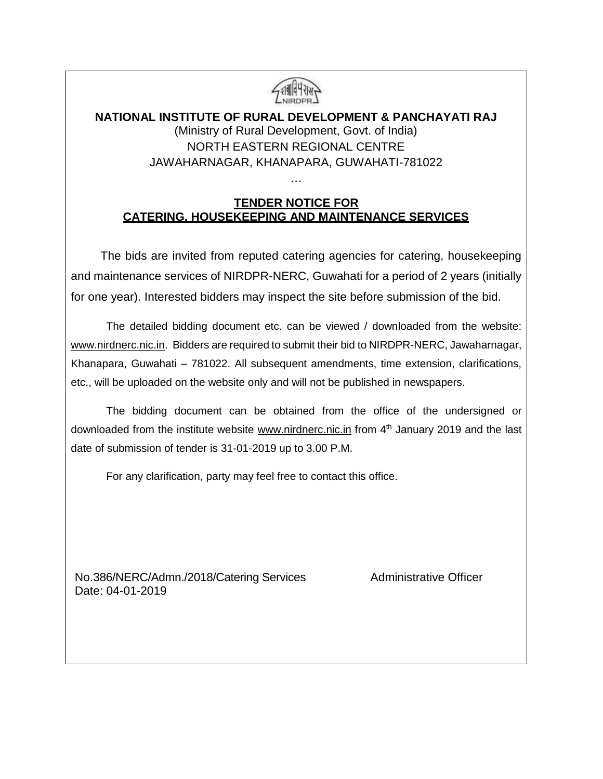

### **NATIONAL INSTITUTE OF RURAL DEVELOPMENT & PANCHAYATI RAJ** (Ministry of Rural Development, Govt. of India) NORTH EASTERN REGIONAL CENTRE JAWAHARNAGAR, KHANAPARA, GUWAHATI-781022

### **TENDER NOTICE FOR CATERING, HOUSEKEEPING AND MAINTENANCE SERVICES**

…

The bids are invited from reputed catering agencies for catering, housekeeping and maintenance services of NIRDPR-NERC, Guwahati for a period of 2 years (initially for one year). Interested bidders may inspect the site before submission of the bid.

The detailed bidding document etc. can be viewed / downloaded from the website: [www.nirdnerc.nic.in.](http://www.nirdnerc.nic.in/) Bidders are required to submit their bid to NIRDPR-NERC, Jawaharnagar, Khanapara, Guwahati – 781022. All subsequent amendments, time extension, clarifications, etc., will be uploaded on the website only and will not be published in newspapers.

The bidding document can be obtained from the office of the undersigned or downloaded from the institute website [www.nirdnerc.nic.in](http://www.nirdnerc.nic.in/) from 4<sup>th</sup> January 2019 and the last date of submission of tender is 31-01-2019 up to 3.00 P.M.

For any clarification, party may feel free to contact this office.

No.386/NERC/Admn./2018/Catering Services Administrative Officer Date: 04-01-2019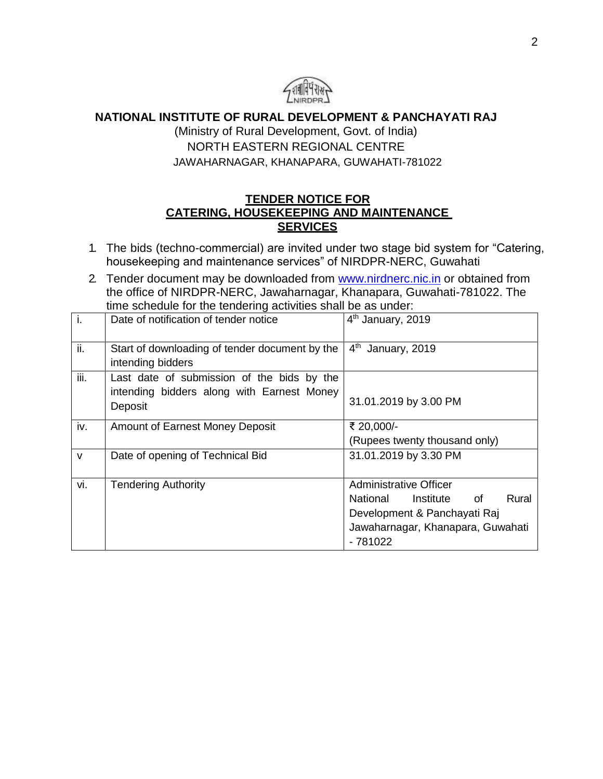

**NATIONAL INSTITUTE OF RURAL DEVELOPMENT & PANCHAYATI RAJ**

(Ministry of Rural Development, Govt. of India) NORTH EASTERN REGIONAL CENTRE JAWAHARNAGAR, KHANAPARA, GUWAHATI-781022

### **TENDER NOTICE FOR CATERING, HOUSEKEEPING AND MAINTENANCE SERVICES**

- 1. The bids (techno-commercial) are invited under two stage bid system for "Catering, housekeeping and maintenance services" of NIRDPR-NERC, Guwahati
- 2. Tender document may be downloaded from [www.nirdnerc.nic.in](http://www.nirdnerc.nic.in/) or obtained from the office of NIRDPR-NERC, Jawaharnagar, Khanapara, Guwahati-781022. The time schedule for the tendering activities shall be as under:

| $\overline{1}$ . | Date of notification of tender notice                                                               | 4 <sup>th</sup> January, 2019        |
|------------------|-----------------------------------------------------------------------------------------------------|--------------------------------------|
| ii.              | Start of downloading of tender document by the<br>intending bidders                                 | 4 <sup>th</sup><br>January, 2019     |
| iii.             | Last date of submission of the bids by the<br>intending bidders along with Earnest Money<br>Deposit | 31.01.2019 by 3.00 PM                |
| iv.              | <b>Amount of Earnest Money Deposit</b>                                                              | ₹ 20,000/-                           |
|                  |                                                                                                     | (Rupees twenty thousand only)        |
| $\mathsf{V}$     | Date of opening of Technical Bid                                                                    | 31.01.2019 by 3.30 PM                |
| vi.              | <b>Tendering Authority</b>                                                                          | <b>Administrative Officer</b>        |
|                  |                                                                                                     | Rural<br>National<br>Institute<br>of |
|                  |                                                                                                     | Development & Panchayati Raj         |
|                  |                                                                                                     | Jawaharnagar, Khanapara, Guwahati    |
|                  |                                                                                                     | $-781022$                            |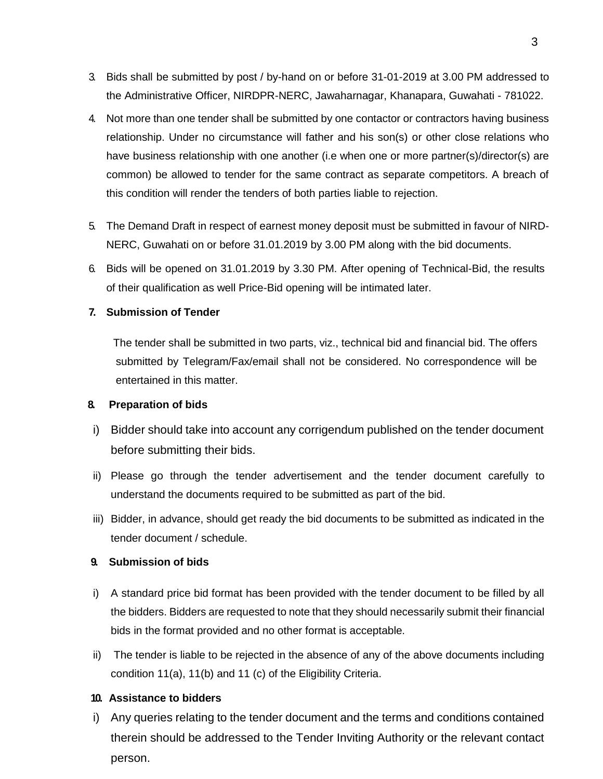- 3. Bids shall be submitted by post / by-hand on or before 31-01-2019 at 3.00 PM addressed to the Administrative Officer, NIRDPR-NERC, Jawaharnagar, Khanapara, Guwahati - 781022.
- 4. Not more than one tender shall be submitted by one contactor or contractors having business relationship. Under no circumstance will father and his son(s) or other close relations who have business relationship with one another (i.e when one or more partner(s)/director(s) are common) be allowed to tender for the same contract as separate competitors. A breach of this condition will render the tenders of both parties liable to rejection.
- 5. The Demand Draft in respect of earnest money deposit must be submitted in favour of NIRD-NERC, Guwahati on or before 31.01.2019 by 3.00 PM along with the bid documents.
- 6. Bids will be opened on 31.01.2019 by 3.30 PM. After opening of Technical-Bid, the results of their qualification as well Price-Bid opening will be intimated later.

#### **7. Submission of Tender**

The tender shall be submitted in two parts, viz., technical bid and financial bid. The offers submitted by Telegram/Fax/email shall not be considered. No correspondence will be entertained in this matter.

#### **8. Preparation of bids**

- i) Bidder should take into account any corrigendum published on the tender document before submitting their bids.
- ii) Please go through the tender advertisement and the tender document carefully to understand the documents required to be submitted as part of the bid.
- iii) Bidder, in advance, should get ready the bid documents to be submitted as indicated in the tender document / schedule.

#### **9. Submission of bids**

- i) A standard price bid format has been provided with the tender document to be filled by all the bidders. Bidders are requested to note that they should necessarily submit their financial bids in the format provided and no other format is acceptable.
- ii) The tender is liable to be rejected in the absence of any of the above documents including condition 11(a), 11(b) and 11 (c) of the Eligibility Criteria.

#### **10. Assistance to bidders**

i) Any queries relating to the tender document and the terms and conditions contained therein should be addressed to the Tender Inviting Authority or the relevant contact person.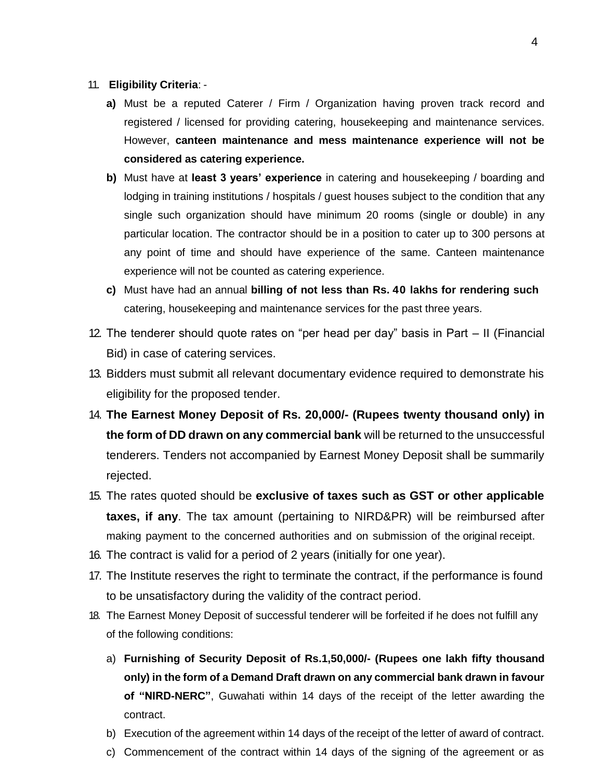- 11. **Eligibility Criteria**:
	- **a)** Must be a reputed Caterer / Firm / Organization having proven track record and registered / licensed for providing catering, housekeeping and maintenance services. However, **canteen maintenance and mess maintenance experience will not be considered as catering experience.**
	- **b)** Must have at **least 3 years' experience** in catering and housekeeping / boarding and lodging in training institutions / hospitals / guest houses subject to the condition that any single such organization should have minimum 20 rooms (single or double) in any particular location. The contractor should be in a position to cater up to 300 persons at any point of time and should have experience of the same. Canteen maintenance experience will not be counted as catering experience.
	- **c)** Must have had an annual **billing of not less than Rs. 40 lakhs for rendering such** catering, housekeeping and maintenance services for the past three years.
- 12. The tenderer should quote rates on "per head per day" basis in Part II (Financial Bid) in case of catering services.
- 13. Bidders must submit all relevant documentary evidence required to demonstrate his eligibility for the proposed tender.
- 14. **The Earnest Money Deposit of Rs. 20,000/- (Rupees twenty thousand only) in the form of DD drawn on any commercial bank** will be returned to the unsuccessful tenderers. Tenders not accompanied by Earnest Money Deposit shall be summarily rejected.
- 15. The rates quoted should be **exclusive of taxes such as GST or other applicable taxes, if any**. The tax amount (pertaining to NIRD&PR) will be reimbursed after making payment to the concerned authorities and on submission of the original receipt.
- 16. The contract is valid for a period of 2 years (initially for one year).
- 17. The Institute reserves the right to terminate the contract, if the performance is found to be unsatisfactory during the validity of the contract period.
- 18. The Earnest Money Deposit of successful tenderer will be forfeited if he does not fulfill any of the following conditions:
	- a) **Furnishing of Security Deposit of Rs.1,50,000/- (Rupees one lakh fifty thousand only) in the form of a Demand Draft drawn on any commercial bank drawn in favour of "NIRD-NERC"**, Guwahati within 14 days of the receipt of the letter awarding the contract.
	- b) Execution of the agreement within 14 days of the receipt of the letter of award of contract.
	- c) Commencement of the contract within 14 days of the signing of the agreement or as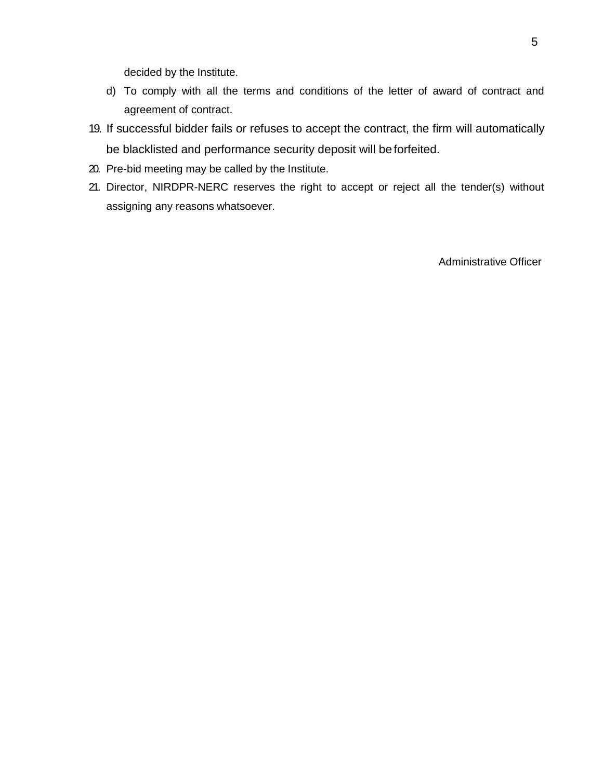decided by the Institute.

- d) To comply with all the terms and conditions of the letter of award of contract and agreement of contract.
- 19. If successful bidder fails or refuses to accept the contract, the firm will automatically be blacklisted and performance security deposit will be forfeited.
- 20. Pre-bid meeting may be called by the Institute.
- 21. Director, NIRDPR-NERC reserves the right to accept or reject all the tender(s) without assigning any reasons whatsoever.

Administrative Officer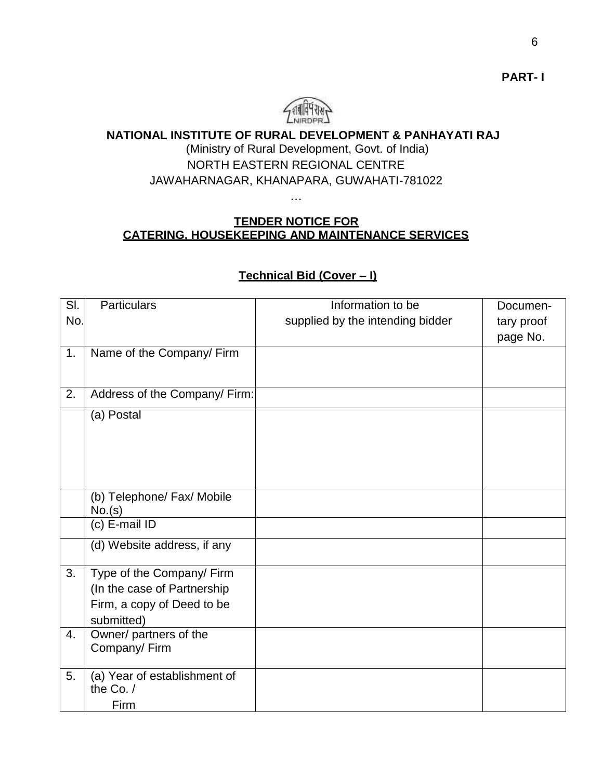

### **NATIONAL INSTITUTE OF RURAL DEVELOPMENT & PANHAYATI RAJ**

### (Ministry of Rural Development, Govt. of India) NORTH EASTERN REGIONAL CENTRE JAWAHARNAGAR, KHANAPARA, GUWAHATI-781022

### **TENDER NOTICE FOR CATERING, HOUSEKEEPING AND MAINTENANCE SERVICES**

…

## Sl. No. Particulars **Information** to be supplied by the intending bidder Documentary proof page No. 1. Name of the Company/ Firm 2. Address of the Company/ Firm: (a) Postal (b) Telephone/ Fax/ Mobile No.(s) (c) E-mail ID (d) Website address, if any 3. Type of the Company/ Firm (In the case of Partnership Firm, a copy of Deed to be submitted) 4. Owner/ partners of the Company/ Firm 5. (a) Year of establishment of the Co. / Firm

### **Technical Bid (Cover – I)**

**PART- I**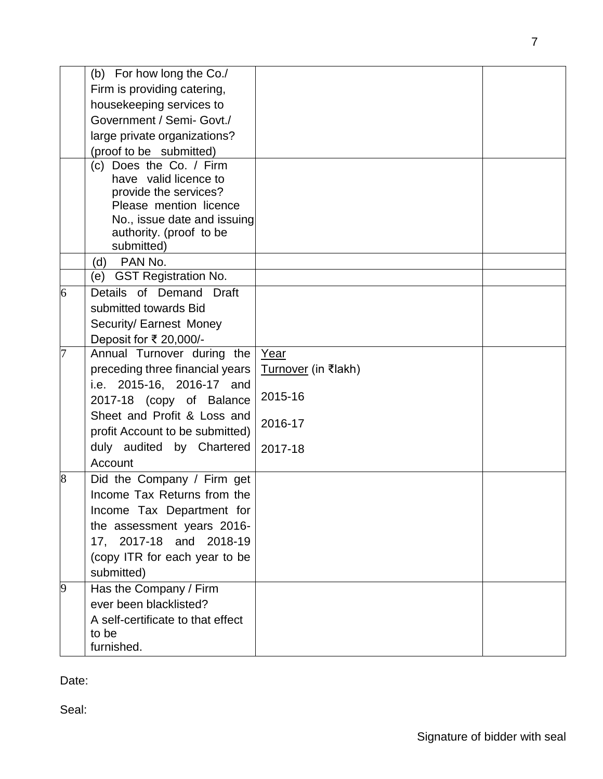|   | (b) For how long the Co./                             |                            |  |
|---|-------------------------------------------------------|----------------------------|--|
|   | Firm is providing catering,                           |                            |  |
|   | housekeeping services to                              |                            |  |
|   | Government / Semi- Govt./                             |                            |  |
|   | large private organizations?                          |                            |  |
|   | (proof to be submitted)                               |                            |  |
|   | (c) Does the Co. / Firm                               |                            |  |
|   | have valid licence to                                 |                            |  |
|   | provide the services?                                 |                            |  |
|   | Please mention licence<br>No., issue date and issuing |                            |  |
|   | authority. (proof to be                               |                            |  |
|   | submitted)                                            |                            |  |
|   | PAN No.<br>(d)                                        |                            |  |
|   | <b>GST Registration No.</b><br>(e)                    |                            |  |
| 6 | Details of Demand Draft                               |                            |  |
|   | submitted towards Bid                                 |                            |  |
|   | Security/ Earnest Money                               |                            |  |
|   | Deposit for ₹ 20,000/-                                |                            |  |
|   | Annual Turnover during the                            | Year                       |  |
|   | preceding three financial years                       | <u>Turnover</u> (in ₹lakh) |  |
|   | i.e. 2015-16, 2016-17 and                             | 2015-16                    |  |
|   | 2017-18 (copy of Balance                              |                            |  |
|   | Sheet and Profit & Loss and                           | 2016-17                    |  |
|   | profit Account to be submitted)                       |                            |  |
|   | duly audited by Chartered                             | 2017-18                    |  |
|   | Account                                               |                            |  |
| 8 | Did the Company / Firm get                            |                            |  |
|   | Income Tax Returns from the                           |                            |  |
|   | Income Tax Department for                             |                            |  |
|   | the assessment years 2016-                            |                            |  |
|   | 17, 2017-18 and 2018-19                               |                            |  |
|   | (copy ITR for each year to be                         |                            |  |
|   | submitted)                                            |                            |  |
| 9 | Has the Company / Firm                                |                            |  |
|   | ever been blacklisted?                                |                            |  |
|   | A self-certificate to that effect                     |                            |  |
|   | to be<br>furnished.                                   |                            |  |
|   |                                                       |                            |  |

Date:

Seal: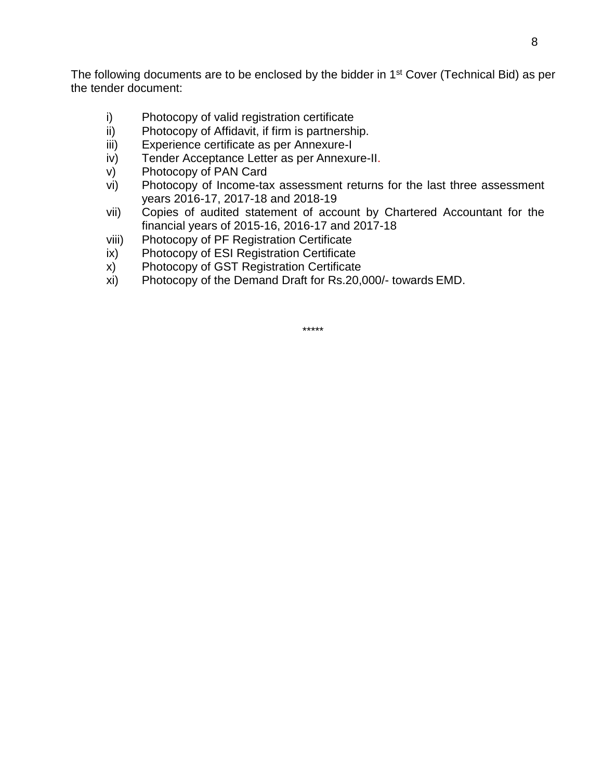The following documents are to be enclosed by the bidder in 1<sup>st</sup> Cover (Technical Bid) as per the tender document:

- i) Photocopy of valid registration certificate
- ii) Photocopy of Affidavit, if firm is partnership.
- iii) Experience certificate as per Annexure-I
- iv) Tender Acceptance Letter as per Annexure-II.
- v) Photocopy of PAN Card
- vi) Photocopy of Income-tax assessment returns for the last three assessment years 2016-17, 2017-18 and 2018-19
- vii) Copies of audited statement of account by Chartered Accountant for the financial years of 2015-16, 2016-17 and 2017-18
- viii) Photocopy of PF Registration Certificate
- ix) Photocopy of ESI Registration Certificate
- x) Photocopy of GST Registration Certificate
- xi) Photocopy of the Demand Draft for Rs.20,000/- towards EMD.

\*\*\*\*\*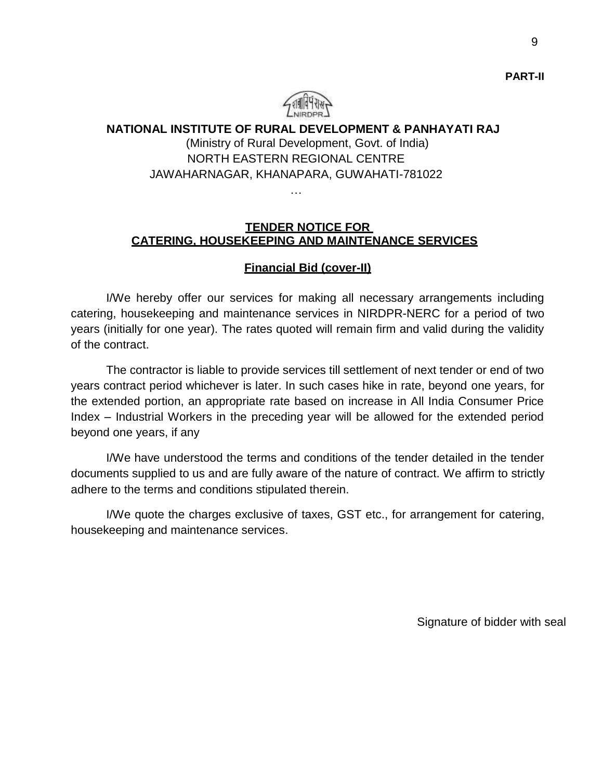

### **NATIONAL INSTITUTE OF RURAL DEVELOPMENT & PANHAYATI RAJ** (Ministry of Rural Development, Govt. of India) NORTH EASTERN REGIONAL CENTRE JAWAHARNAGAR, KHANAPARA, GUWAHATI-781022

…

#### **TENDER NOTICE FOR CATERING, HOUSEKEEPING AND MAINTENANCE SERVICES**

### **Financial Bid (cover-II)**

I/We hereby offer our services for making all necessary arrangements including catering, housekeeping and maintenance services in NIRDPR-NERC for a period of two years (initially for one year). The rates quoted will remain firm and valid during the validity of the contract.

The contractor is liable to provide services till settlement of next tender or end of two years contract period whichever is later. In such cases hike in rate, beyond one years, for the extended portion, an appropriate rate based on increase in All India Consumer Price Index – Industrial Workers in the preceding year will be allowed for the extended period beyond one years, if any

I/We have understood the terms and conditions of the tender detailed in the tender documents supplied to us and are fully aware of the nature of contract. We affirm to strictly adhere to the terms and conditions stipulated therein.

I/We quote the charges exclusive of taxes, GST etc., for arrangement for catering, housekeeping and maintenance services.

Signature of bidder with seal

**PART-II**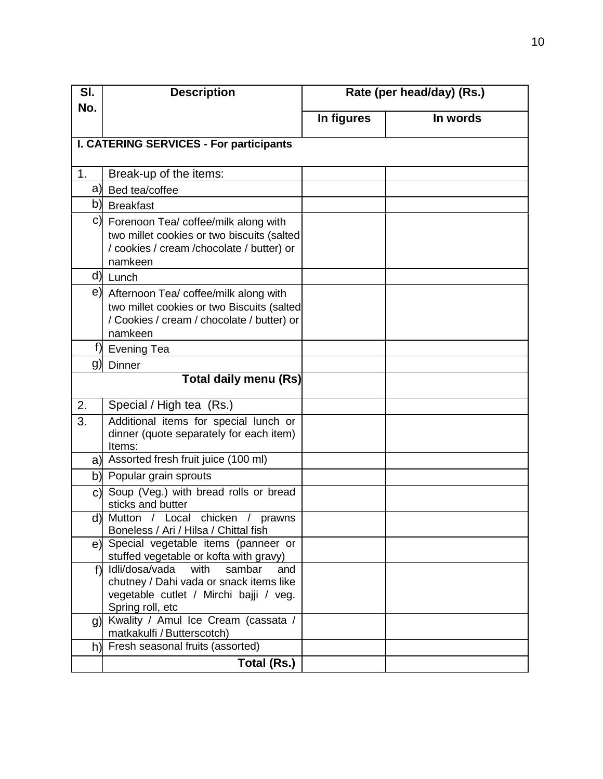| SI.            | <b>Description</b>                                                                                                                              | Rate (per head/day) (Rs.) |          |
|----------------|-------------------------------------------------------------------------------------------------------------------------------------------------|---------------------------|----------|
| No.            |                                                                                                                                                 | In figures                | In words |
|                | <b>I. CATERING SERVICES - For participants</b>                                                                                                  |                           |          |
|                |                                                                                                                                                 |                           |          |
| 1 <sub>1</sub> | Break-up of the items:                                                                                                                          |                           |          |
| a)             | Bed tea/coffee                                                                                                                                  |                           |          |
|                | b) Breakfast                                                                                                                                    |                           |          |
|                | c) Forenoon Tea/ coffee/milk along with<br>two millet cookies or two biscuits (salted<br>/ cookies / cream / chocolate / butter) or<br>namkeen  |                           |          |
| d)             | Lunch                                                                                                                                           |                           |          |
|                | e) Afternoon Tea/ coffee/milk along with<br>two millet cookies or two Biscuits (salted<br>/ Cookies / cream / chocolate / butter) or<br>namkeen |                           |          |
| f)             | <b>Evening Tea</b>                                                                                                                              |                           |          |
| g)             | Dinner                                                                                                                                          |                           |          |
|                | <b>Total daily menu (Rs)</b>                                                                                                                    |                           |          |
| 2.             | Special / High tea (Rs.)                                                                                                                        |                           |          |
| 3.             | Additional items for special lunch or<br>dinner (quote separately for each item)<br>Items:                                                      |                           |          |
|                | a) Assorted fresh fruit juice (100 ml)                                                                                                          |                           |          |
|                | b) Popular grain sprouts                                                                                                                        |                           |          |
| C)             | Soup (Veg.) with bread rolls or bread<br>sticks and butter                                                                                      |                           |          |
|                | d) Mutton<br>chicken<br>/ Local<br>prawns<br>Boneless / Ari / Hilsa / Chittal fish                                                              |                           |          |
|                | e) Special vegetable items (panneer or<br>stuffed vegetable or kofta with gravy)                                                                |                           |          |
| f              | Idli/dosa/vada with<br>sambar<br>and<br>chutney / Dahi vada or snack items like<br>vegetable cutlet / Mirchi bajji / veg.<br>Spring roll, etc   |                           |          |
|                | g) Kwality / Amul Ice Cream (cassata /<br>matkakulfi / Butterscotch)                                                                            |                           |          |
| h)             | Fresh seasonal fruits (assorted)                                                                                                                |                           |          |
|                | Total (Rs.)                                                                                                                                     |                           |          |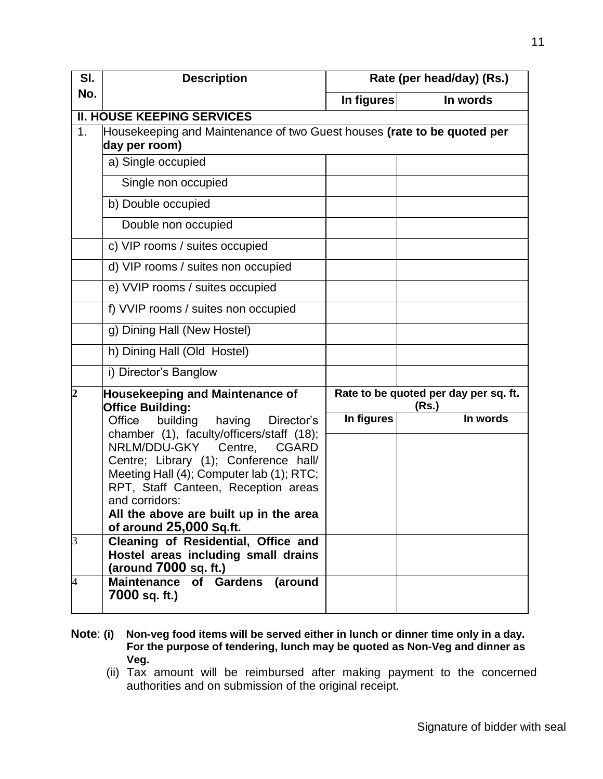| SI.            | <b>Description</b>                                                                       |            | Rate (per head/day) (Rs.)                      |
|----------------|------------------------------------------------------------------------------------------|------------|------------------------------------------------|
| No.            |                                                                                          | In figures | In words                                       |
|                | <b>II. HOUSE KEEPING SERVICES</b>                                                        |            |                                                |
| 1 <sub>1</sub> | Housekeeping and Maintenance of two Guest houses (rate to be quoted per<br>day per room) |            |                                                |
|                | a) Single occupied                                                                       |            |                                                |
|                | Single non occupied                                                                      |            |                                                |
|                | b) Double occupied                                                                       |            |                                                |
|                | Double non occupied                                                                      |            |                                                |
|                | c) VIP rooms / suites occupied                                                           |            |                                                |
|                | d) VIP rooms / suites non occupied                                                       |            |                                                |
|                | e) VVIP rooms / suites occupied                                                          |            |                                                |
|                | f) VVIP rooms / suites non occupied                                                      |            |                                                |
|                | g) Dining Hall (New Hostel)                                                              |            |                                                |
|                | h) Dining Hall (Old Hostel)                                                              |            |                                                |
|                | i) Director's Banglow                                                                    |            |                                                |
| $\overline{c}$ | <b>Housekeeping and Maintenance of</b><br><b>Office Building:</b>                        |            | Rate to be quoted per day per sq. ft.<br>(Rs.) |
|                | Office<br>building<br>having<br>Director's                                               | In figures | In words                                       |
|                | chamber (1), faculty/officers/staff (18);<br>NRLM/DDU-GKY<br>Centre,<br><b>CGARD</b>     |            |                                                |
|                | Centre; Library (1); Conference hall/                                                    |            |                                                |
|                | Meeting Hall (4); Computer lab (1); RTC;                                                 |            |                                                |
|                | RPT, Staff Canteen, Reception areas<br>and corridors:                                    |            |                                                |
|                | All the above are built up in the area                                                   |            |                                                |
|                | of around 25,000 Sq.ft.                                                                  |            |                                                |
| 3              | Cleaning of Residential, Office and                                                      |            |                                                |
|                | Hostel areas including small drains<br>(around 7000 sq. ft.)                             |            |                                                |
| $\overline{4}$ | of Gardens<br><b>Maintenance</b><br>(around                                              |            |                                                |
|                | 7000 sq. ft.)                                                                            |            |                                                |

- **Note**: **(i) Non-veg food items will be served either in lunch or dinner time only in a day. For the purpose of tendering, lunch may be quoted as Non-Veg and dinner as Veg.**
	- (ii) Tax amount will be reimbursed after making payment to the concerned authorities and on submission of the original receipt.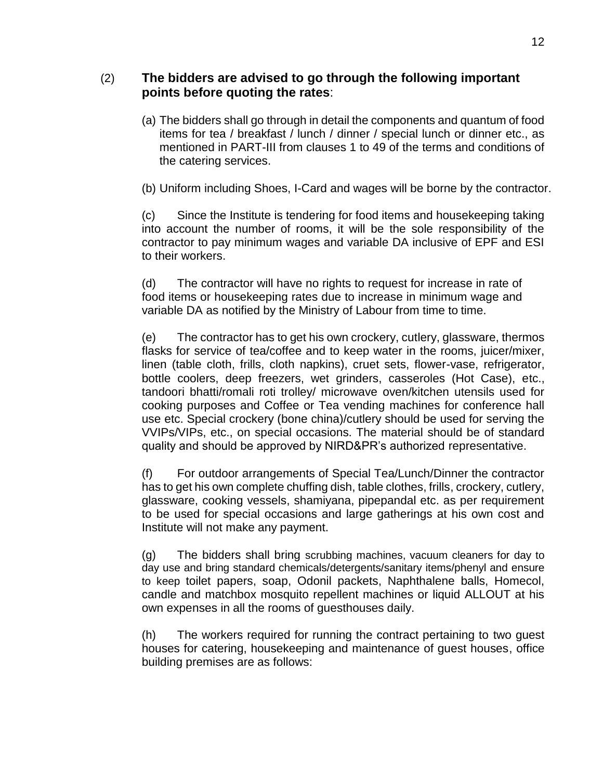### (2) **The bidders are advised to go through the following important points before quoting the rates**:

(a) The bidders shall go through in detail the components and quantum of food items for tea / breakfast / lunch / dinner / special lunch or dinner etc., as mentioned in PART-III from clauses 1 to 49 of the terms and conditions of the catering services.

(b) Uniform including Shoes, I-Card and wages will be borne by the contractor.

(c) Since the Institute is tendering for food items and housekeeping taking into account the number of rooms, it will be the sole responsibility of the contractor to pay minimum wages and variable DA inclusive of EPF and ESI to their workers.

(d) The contractor will have no rights to request for increase in rate of food items or housekeeping rates due to increase in minimum wage and variable DA as notified by the Ministry of Labour from time to time.

(e) The contractor has to get his own crockery, cutlery, glassware, thermos flasks for service of tea/coffee and to keep water in the rooms, juicer/mixer, linen (table cloth, frills, cloth napkins), cruet sets, flower-vase, refrigerator, bottle coolers, deep freezers, wet grinders, casseroles (Hot Case), etc., tandoori bhatti/romali roti trolley/ microwave oven/kitchen utensils used for cooking purposes and Coffee or Tea vending machines for conference hall use etc. Special crockery (bone china)/cutlery should be used for serving the VVIPs/VIPs, etc., on special occasions. The material should be of standard quality and should be approved by NIRD&PR's authorized representative.

(f) For outdoor arrangements of Special Tea/Lunch/Dinner the contractor has to get his own complete chuffing dish, table clothes, frills, crockery, cutlery, glassware, cooking vessels, shamiyana, pipepandal etc. as per requirement to be used for special occasions and large gatherings at his own cost and Institute will not make any payment.

(g) The bidders shall bring scrubbing machines, vacuum cleaners for day to day use and bring standard chemicals/detergents/sanitary items/phenyl and ensure to keep toilet papers, soap, Odonil packets, Naphthalene balls, Homecol, candle and matchbox mosquito repellent machines or liquid ALLOUT at his own expenses in all the rooms of guesthouses daily.

(h) The workers required for running the contract pertaining to two guest houses for catering, housekeeping and maintenance of guest houses, office building premises are as follows: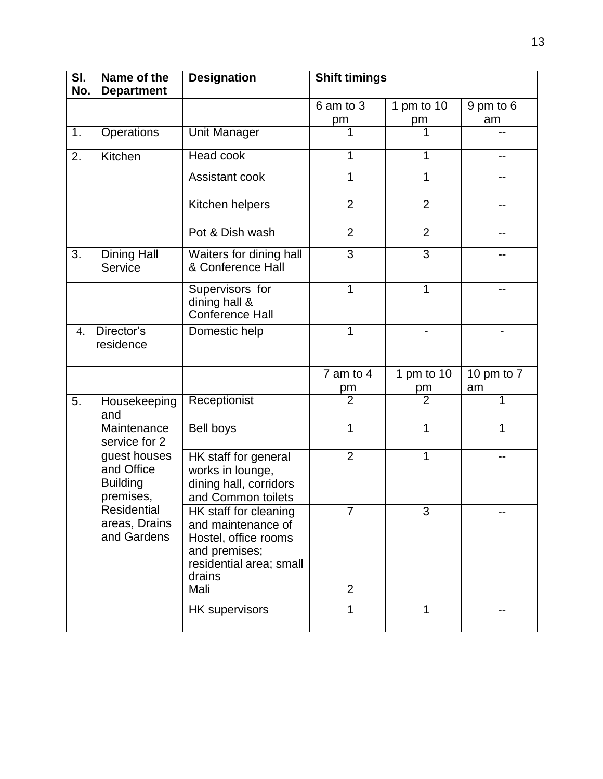| SI.<br>No.       | Name of the<br><b>Department</b>                           | <b>Designation</b>                                                                                                        | <b>Shift timings</b> |                  |                  |
|------------------|------------------------------------------------------------|---------------------------------------------------------------------------------------------------------------------------|----------------------|------------------|------------------|
|                  |                                                            |                                                                                                                           | 6 am to 3<br>pm      | 1 pm to 10<br>pm | 9 pm to 6<br>am  |
| 1.               | Operations                                                 | <b>Unit Manager</b>                                                                                                       | 1                    |                  |                  |
| 2.               | Kitchen                                                    | <b>Head cook</b>                                                                                                          | 1                    | 1                | --               |
|                  |                                                            | Assistant cook                                                                                                            | 1                    | 1                | --               |
|                  |                                                            | Kitchen helpers                                                                                                           | $\overline{2}$       | $\overline{2}$   | --               |
|                  |                                                            | Pot & Dish wash                                                                                                           | $\overline{2}$       | $\overline{2}$   | --               |
| 3.               | <b>Dining Hall</b><br>Service                              | Waiters for dining hall<br>& Conference Hall                                                                              | 3                    | 3                | --               |
|                  |                                                            | Supervisors for<br>dining hall &<br>Conference Hall                                                                       | 1                    | 1                | --               |
| $\overline{4}$ . | Director's<br>residence                                    | Domestic help                                                                                                             | 1                    |                  | -                |
|                  |                                                            |                                                                                                                           | 7 am to 4<br>pm      | 1 pm to 10<br>pm | 10 pm to 7<br>am |
| 5.               | Housekeeping<br>and                                        | Receptionist                                                                                                              | $\overline{2}$       | $\overline{2}$   | 1                |
|                  | Maintenance<br>service for 2                               | Bell boys                                                                                                                 | 1                    | 1                | 1                |
|                  | guest houses<br>and Office<br><b>Building</b><br>premises, | HK staff for general<br>works in lounge,<br>dining hall, corridors<br>and Common toilets                                  | $\overline{2}$       | 1                |                  |
|                  | Residential<br>areas, Drains<br>and Gardens                | HK staff for cleaning<br>and maintenance of<br>Hostel, office rooms<br>and premises;<br>residential area; small<br>drains | $\overline{7}$       | 3                |                  |
|                  |                                                            | Mali                                                                                                                      | $\overline{2}$       |                  |                  |
|                  |                                                            | <b>HK</b> supervisors                                                                                                     | 1                    | 1                |                  |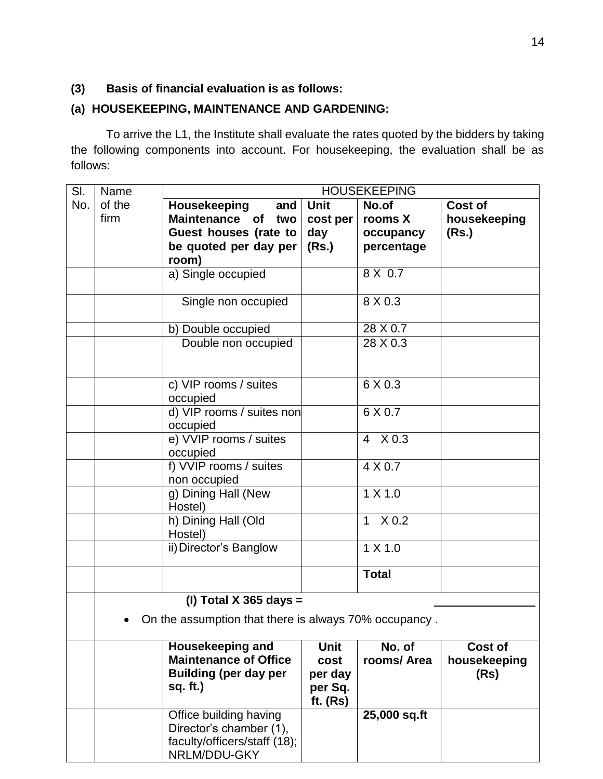### **(3) Basis of financial evaluation is as follows:**

### **(a) HOUSEKEEPING, MAINTENANCE AND GARDENING:**

To arrive the L1, the Institute shall evaluate the rates quoted by the bidders by taking the following components into account. For housekeeping, the evaluation shall be as follows:

| SI. | Name   | <b>HOUSEKEEPING</b>                                                                                 |                                           |                      |                                 |
|-----|--------|-----------------------------------------------------------------------------------------------------|-------------------------------------------|----------------------|---------------------------------|
| No. | of the | Housekeeping<br>and                                                                                 | <b>Unit</b>                               | No.of                | Cost of                         |
|     | firm   | Maintenance of<br>two                                                                               | cost per                                  | rooms X              | housekeeping                    |
|     |        | Guest houses (rate to                                                                               | day                                       | occupancy            | (Rs.)                           |
|     |        | be quoted per day per                                                                               | (Rs.)                                     | percentage           |                                 |
|     |        | room)                                                                                               |                                           |                      |                                 |
|     |        | a) Single occupied                                                                                  |                                           | 8 X 0.7              |                                 |
|     |        | Single non occupied                                                                                 |                                           | 8 X 0.3              |                                 |
|     |        | b) Double occupied                                                                                  |                                           | $28 \times 0.7$      |                                 |
|     |        | Double non occupied                                                                                 |                                           | 28 X 0.3             |                                 |
|     |        | c) VIP rooms / suites<br>occupied                                                                   |                                           | 6 X 0.3              |                                 |
|     |        | d) VIP rooms / suites non<br>occupied                                                               |                                           | 6 X 0.7              |                                 |
|     |        | e) VVIP rooms / suites<br>occupied                                                                  |                                           | 4 X 0.3              |                                 |
|     |        | f) VVIP rooms / suites<br>non occupied                                                              |                                           | 4 X 0.7              |                                 |
|     |        | g) Dining Hall (New<br>Hostel)                                                                      |                                           | 1 X 1.0              |                                 |
|     |        | h) Dining Hall (Old<br>Hostel)                                                                      |                                           | 1 X 0.2              |                                 |
|     |        | ii) Director's Banglow                                                                              |                                           | 1 X 1.0              |                                 |
|     |        |                                                                                                     |                                           | <b>Total</b>         |                                 |
|     |        | (I) Total X 365 days $=$                                                                            |                                           |                      |                                 |
|     |        | On the assumption that there is always 70% occupancy.                                               |                                           |                      |                                 |
|     |        | <b>Housekeeping and</b><br><b>Maintenance of Office</b><br><b>Building (per day per</b><br>sq. ft.) | <b>Unit</b><br>cost<br>per day<br>per Sq. | No. of<br>rooms/Area | Cost of<br>housekeeping<br>(Rs) |
|     |        |                                                                                                     | ft. $(Rs)$                                |                      |                                 |
|     |        | Office building having<br>Director's chamber (1),<br>faculty/officers/staff (18);<br>NRLM/DDU-GKY   |                                           | 25,000 sq.ft         |                                 |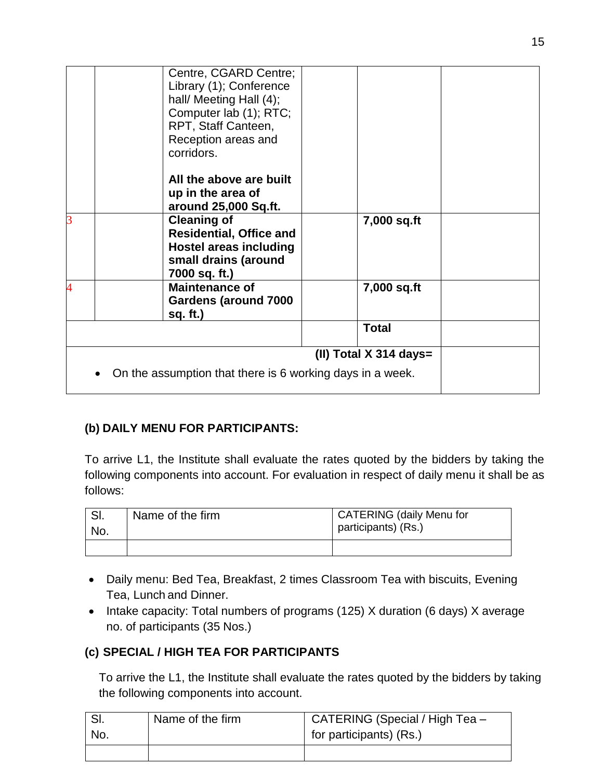|                | Centre, CGARD Centre;<br>Library (1); Conference<br>hall/ Meeting Hall (4);<br>Computer lab (1); RTC;<br>RPT, Staff Canteen,<br>Reception areas and<br>corridors. |                          |
|----------------|-------------------------------------------------------------------------------------------------------------------------------------------------------------------|--------------------------|
|                | All the above are built<br>up in the area of<br>around 25,000 Sq.ft.                                                                                              |                          |
| 3              | <b>Cleaning of</b><br><b>Residential, Office and</b><br><b>Hostel areas including</b><br>small drains (around<br>7000 sq. ft.)                                    | 7,000 sq.ft              |
| $\overline{4}$ | <b>Maintenance of</b><br>Gardens (around 7000<br>sq. ft.)                                                                                                         | 7,000 sq.ft              |
|                |                                                                                                                                                                   | <b>Total</b>             |
|                | On the assumption that there is 6 working days in a week.                                                                                                         | (II) Total $X$ 314 days= |

### **(b) DAILY MENU FOR PARTICIPANTS:**

To arrive L1, the Institute shall evaluate the rates quoted by the bidders by taking the following components into account. For evaluation in respect of daily menu it shall be as follows:

| No. | Name of the firm | <b>CATERING (daily Menu for</b><br>participants) (Rs.) |
|-----|------------------|--------------------------------------------------------|
|     |                  |                                                        |

- Daily menu: Bed Tea, Breakfast, 2 times Classroom Tea with biscuits, Evening Tea, Lunch and Dinner.
- Intake capacity: Total numbers of programs (125) X duration (6 days) X average no. of participants (35 Nos.)

### **(c) SPECIAL / HIGH TEA FOR PARTICIPANTS**

To arrive the L1, the Institute shall evaluate the rates quoted by the bidders by taking the following components into account.

| No. | Name of the firm | CATERING (Special / High Tea -<br>for participants) (Rs.) |
|-----|------------------|-----------------------------------------------------------|
|     |                  |                                                           |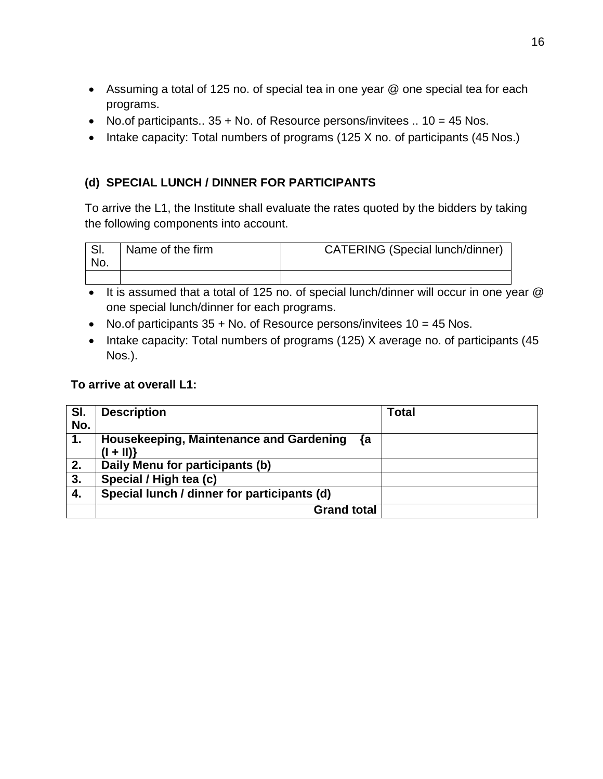- Assuming a total of 125 no. of special tea in one year @ one special tea for each programs.
- No.of participants..  $35 +$  No. of Resource persons/invitees ..  $10 = 45$  Nos.
- Intake capacity: Total numbers of programs (125 X no. of participants (45 Nos.)

### **(d) SPECIAL LUNCH / DINNER FOR PARTICIPANTS**

To arrive the L1, the Institute shall evaluate the rates quoted by the bidders by taking the following components into account.

| SI.<br>No. | Name of the firm | <b>CATERING (Special lunch/dinner)</b> |
|------------|------------------|----------------------------------------|
|            |                  |                                        |

- It is assumed that a total of 125 no. of special lunch/dinner will occur in one year  $@$ one special lunch/dinner for each programs.
- No.of participants  $35 +$  No. of Resource persons/invitees  $10 = 45$  Nos.
- Intake capacity: Total numbers of programs (125) X average no. of participants (45 Nos.).

### **To arrive at overall L1:**

| SI.<br>No.       | <b>Description</b>                                          | <b>Total</b> |
|------------------|-------------------------------------------------------------|--------------|
| 1.               | Housekeeping, Maintenance and Gardening<br>₹a<br>$(  +   )$ |              |
| 2.               | Daily Menu for participants (b)                             |              |
| $\overline{3}$ . | Special / High tea (c)                                      |              |
| 4.               | Special lunch / dinner for participants (d)                 |              |
|                  | <b>Grand total</b>                                          |              |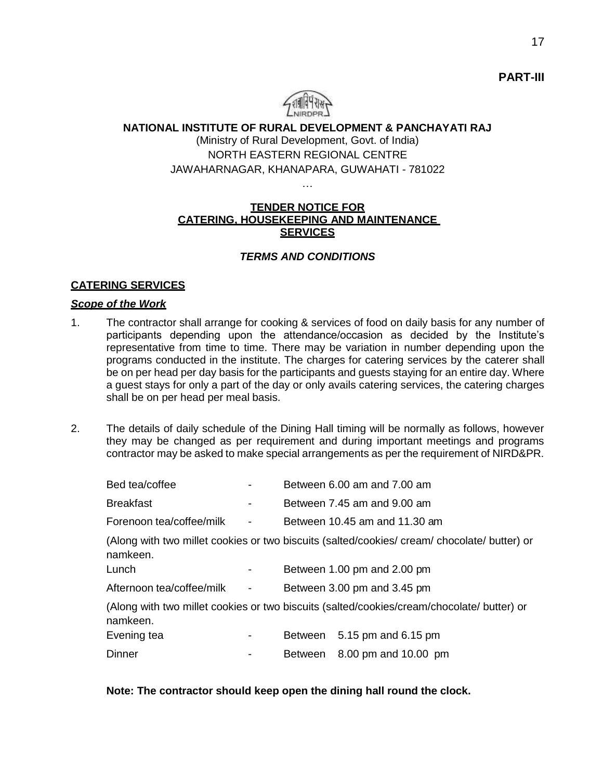

### **NATIONAL INSTITUTE OF RURAL DEVELOPMENT & PANCHAYATI RAJ** (Ministry of Rural Development, Govt. of India) NORTH EASTERN REGIONAL CENTRE JAWAHARNAGAR, KHANAPARA, GUWAHATI - 781022

#### **TENDER NOTICE FOR CATERING, HOUSEKEEPING AND MAINTENANCE SERVICES**

…

#### *TERMS AND CONDITIONS*

#### **CATERING SERVICES**

#### *Scope of the Work*

- 1. The contractor shall arrange for cooking & services of food on daily basis for any number of participants depending upon the attendance/occasion as decided by the Institute's representative from time to time. There may be variation in number depending upon the programs conducted in the institute. The charges for catering services by the caterer shall be on per head per day basis for the participants and guests staying for an entire day. Where a guest stays for only a part of the day or only avails catering services, the catering charges shall be on per head per meal basis.
- 2. The details of daily schedule of the Dining Hall timing will be normally as follows, however they may be changed as per requirement and during important meetings and programs contractor may be asked to make special arrangements as per the requirement of NIRD&PR.

| Bed tea/coffee            |                          |         | Between 6.00 am and 7.00 am                                                                  |
|---------------------------|--------------------------|---------|----------------------------------------------------------------------------------------------|
| <b>Breakfast</b>          | ۰                        |         | Between 7.45 am and 9.00 am                                                                  |
| Forenoon tea/coffee/milk  | $\overline{\phantom{a}}$ |         | Between 10.45 am and 11.30 am                                                                |
| namkeen.                  |                          |         | (Along with two millet cookies or two biscuits (salted/cookies/ cream/ chocolate/ butter) or |
| Lunch                     |                          |         | Between 1.00 pm and 2.00 pm                                                                  |
| Afternoon tea/coffee/milk | $\overline{\phantom{a}}$ |         | Between 3.00 pm and 3.45 pm                                                                  |
| namkeen.                  |                          |         | (Along with two millet cookies or two biscuits (salted/cookies/cream/chocolate/ butter) or   |
| Evening tea               |                          |         | Between 5.15 pm and 6.15 pm                                                                  |
| Dinner                    |                          | Between | 8.00 pm and 10.00 pm                                                                         |

#### **Note: The contractor should keep open the dining hall round the clock.**

**PART-III**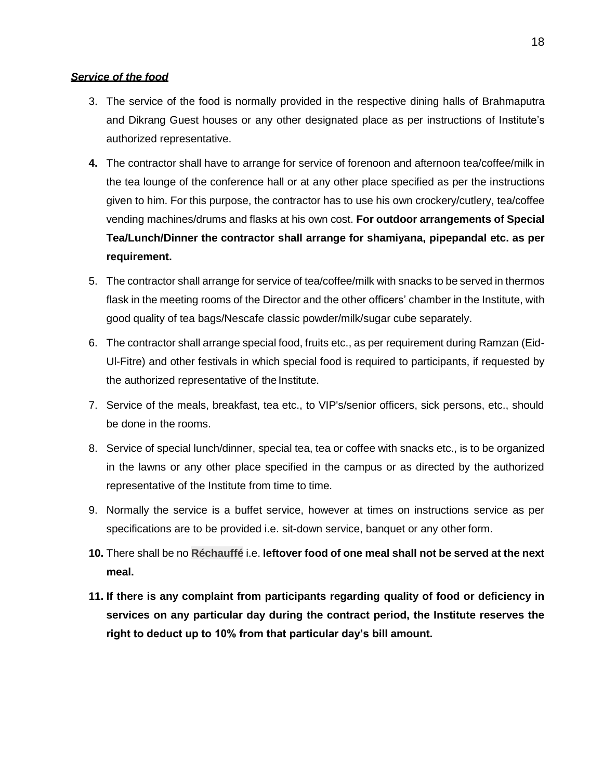#### *Service of the food*

- 3. The service of the food is normally provided in the respective dining halls of Brahmaputra and Dikrang Guest houses or any other designated place as per instructions of Institute's authorized representative.
- **4.** The contractor shall have to arrange for service of forenoon and afternoon tea/coffee/milk in the tea lounge of the conference hall or at any other place specified as per the instructions given to him. For this purpose, the contractor has to use his own crockery/cutlery, tea/coffee vending machines/drums and flasks at his own cost. **For outdoor arrangements of Special Tea/Lunch/Dinner the contractor shall arrange for shamiyana, pipepandal etc. as per requirement.**
- 5. The contractor shall arrange for service of tea/coffee/milk with snacks to be served in thermos flask in the meeting rooms of the Director and the other officers' chamber in the Institute, with good quality of tea bags/Nescafe classic powder/milk/sugar cube separately.
- 6. The contractor shall arrange special food, fruits etc., as per requirement during Ramzan (Eid-Ul-Fitre) and other festivals in which special food is required to participants, if requested by the authorized representative of the Institute.
- 7. Service of the meals, breakfast, tea etc., to VIP's/senior officers, sick persons, etc., should be done in the rooms.
- 8. Service of special lunch/dinner, special tea, tea or coffee with snacks etc., is to be organized in the lawns or any other place specified in the campus or as directed by the authorized representative of the Institute from time to time.
- 9. Normally the service is a buffet service, however at times on instructions service as per specifications are to be provided i.e. sit-down service, banquet or any other form.
- **10.** There shall be no **Réchauffé** i.e. **leftover food of one meal shall not be served at the next meal.**
- **11. If there is any complaint from participants regarding quality of food or deficiency in services on any particular day during the contract period, the Institute reserves the right to deduct up to 10% from that particular day's bill amount.**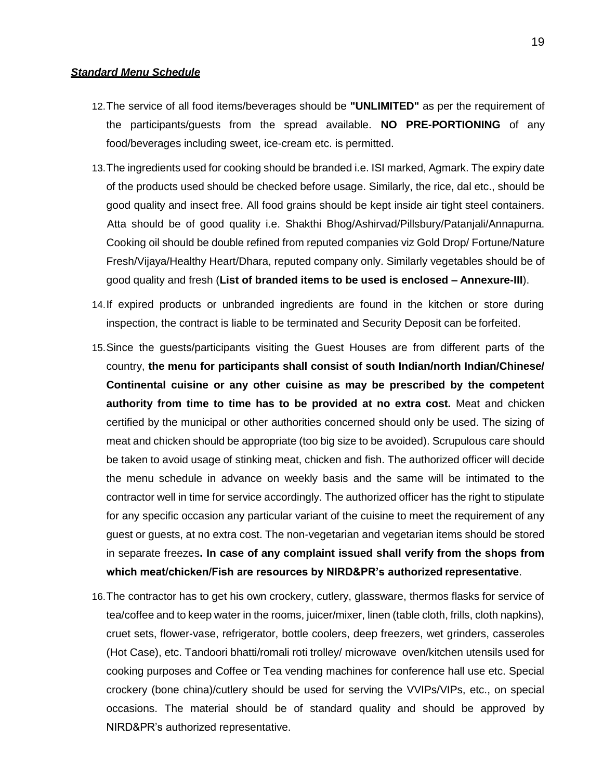#### *Standard Menu Schedule*

- 12.The service of all food items/beverages should be **"UNLIMITED"** as per the requirement of the participants/guests from the spread available. **NO PRE-PORTIONING** of any food/beverages including sweet, ice-cream etc. is permitted.
- 13.The ingredients used for cooking should be branded i.e. ISI marked, Agmark. The expiry date of the products used should be checked before usage. Similarly, the rice, dal etc., should be good quality and insect free. All food grains should be kept inside air tight steel containers. Atta should be of good quality i.e. Shakthi Bhog/Ashirvad/Pillsbury/Patanjali/Annapurna. Cooking oil should be double refined from reputed companies viz Gold Drop/ Fortune/Nature Fresh/Vijaya/Healthy Heart/Dhara, reputed company only. Similarly vegetables should be of good quality and fresh (**List of branded items to be used is enclosed – Annexure-III**).
- 14.If expired products or unbranded ingredients are found in the kitchen or store during inspection, the contract is liable to be terminated and Security Deposit can be forfeited.
- 15.Since the guests/participants visiting the Guest Houses are from different parts of the country, **the menu for participants shall consist of south Indian/north Indian/Chinese/ Continental cuisine or any other cuisine as may be prescribed by the competent authority from time to time has to be provided at no extra cost.** Meat and chicken certified by the municipal or other authorities concerned should only be used. The sizing of meat and chicken should be appropriate (too big size to be avoided). Scrupulous care should be taken to avoid usage of stinking meat, chicken and fish. The authorized officer will decide the menu schedule in advance on weekly basis and the same will be intimated to the contractor well in time for service accordingly. The authorized officer has the right to stipulate for any specific occasion any particular variant of the cuisine to meet the requirement of any guest or guests, at no extra cost. The non-vegetarian and vegetarian items should be stored in separate freezes**. In case of any complaint issued shall verify from the shops from which meat/chicken/Fish are resources by NIRD&PR's authorized representative**.
- 16.The contractor has to get his own crockery, cutlery, glassware, thermos flasks for service of tea/coffee and to keep water in the rooms, juicer/mixer, linen (table cloth, frills, cloth napkins), cruet sets, flower-vase, refrigerator, bottle coolers, deep freezers, wet grinders, casseroles (Hot Case), etc. Tandoori bhatti/romali roti trolley/ microwave oven/kitchen utensils used for cooking purposes and Coffee or Tea vending machines for conference hall use etc. Special crockery (bone china)/cutlery should be used for serving the VVIPs/VIPs, etc., on special occasions. The material should be of standard quality and should be approved by NIRD&PR's authorized representative.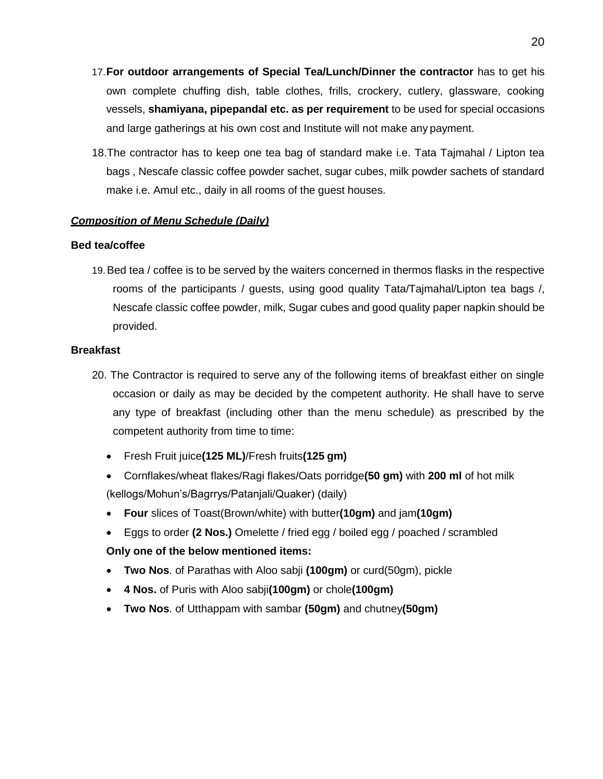- 17.**For outdoor arrangements of Special Tea/Lunch/Dinner the contractor** has to get his own complete chuffing dish, table clothes, frills, crockery, cutlery, glassware, cooking vessels, **shamiyana, pipepandal etc. as per requirement** to be used for special occasions and large gatherings at his own cost and Institute will not make any payment.
- 18.The contractor has to keep one tea bag of standard make i.e. Tata Tajmahal / Lipton tea bags , Nescafe classic coffee powder sachet, sugar cubes, milk powder sachets of standard make i.e. Amul etc., daily in all rooms of the guest houses.

#### *Composition of Menu Schedule (Daily)*

#### **Bed tea/coffee**

19.Bed tea / coffee is to be served by the waiters concerned in thermos flasks in the respective rooms of the participants / guests, using good quality Tata/Tajmahal/Lipton tea bags /, Nescafe classic coffee powder, milk, Sugar cubes and good quality paper napkin should be provided.

#### **Breakfast**

- 20. The Contractor is required to serve any of the following items of breakfast either on single occasion or daily as may be decided by the competent authority. He shall have to serve any type of breakfast (including other than the menu schedule) as prescribed by the competent authority from time to time:
	- Fresh Fruit juice**(125 ML)**/Fresh fruits**(125 gm)**
	- Cornflakes/wheat flakes/Ragi flakes/Oats porridge**(50 gm)** with **200 ml** of hot milk (kellogs/Mohun's/Bagrrys/Patanjali/Quaker) (daily)
	- **Four** slices of Toast(Brown/white) with butter**(10gm)** and jam**(10gm)**
	- Eggs to order **(2 Nos.)** Omelette / fried egg / boiled egg / poached / scrambled

#### **Only one of the below mentioned items:**

- **Two Nos**. of Parathas with Aloo sabji **(100gm)** or curd(50gm), pickle
- **4 Nos.** of Puris with Aloo sabji**(100gm)** or chole**(100gm)**
- **Two Nos**. of Utthappam with sambar **(50gm)** and chutney**(50gm)**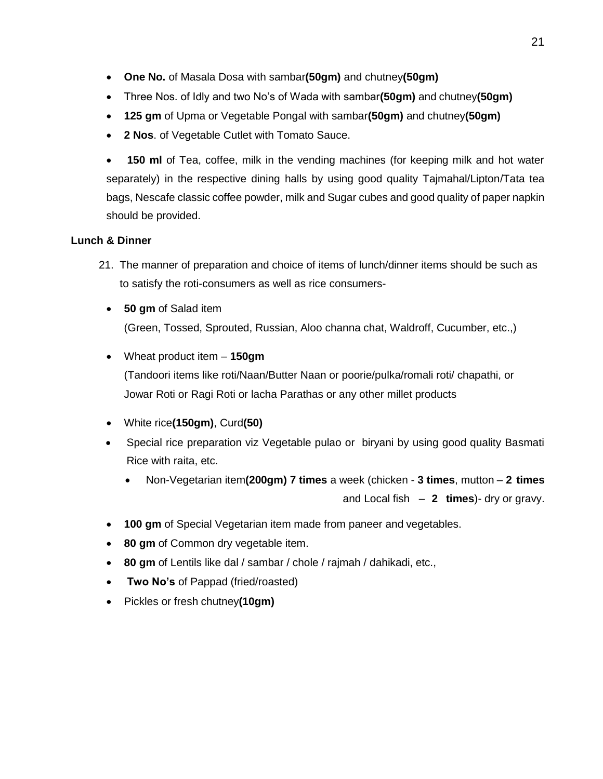- **One No.** of Masala Dosa with sambar**(50gm)** and chutney**(50gm)**
- Three Nos. of Idly and two No's of Wada with sambar**(50gm)** and chutney**(50gm)**
- **125 gm** of Upma or Vegetable Pongal with sambar**(50gm)** and chutney**(50gm)**
- **2 Nos**. of Vegetable Cutlet with Tomato Sauce.

 **150 ml** of Tea, coffee, milk in the vending machines (for keeping milk and hot water separately) in the respective dining halls by using good quality Tajmahal/Lipton/Tata tea bags, Nescafe classic coffee powder, milk and Sugar cubes and good quality of paper napkin should be provided.

### **Lunch & Dinner**

- 21. The manner of preparation and choice of items of lunch/dinner items should be such as to satisfy the roti-consumers as well as rice consumers-
	- **50 gm** of Salad item (Green, Tossed, Sprouted, Russian, Aloo channa chat, Waldroff, Cucumber, etc.,)
	- Wheat product item **150gm**

(Tandoori items like roti/Naan/Butter Naan or poorie/pulka/romali roti/ chapathi, or Jowar Roti or Ragi Roti or lacha Parathas or any other millet products

- White rice**(150gm)**, Curd**(50)**
- Special rice preparation viz Vegetable pulao or biryani by using good quality Basmati Rice with raita, etc.
	- Non-Vegetarian item**(200gm) 7 times** a week (chicken **3 times**, mutton **2 times**  and Local fish – **2 times**)- dry or gravy.
- **100 gm** of Special Vegetarian item made from paneer and vegetables.
- **80 gm** of Common dry vegetable item.
- **80 gm** of Lentils like dal / sambar / chole / rajmah / dahikadi, etc.,
- **Two No's** of Pappad (fried/roasted)
- Pickles or fresh chutney**(10gm)**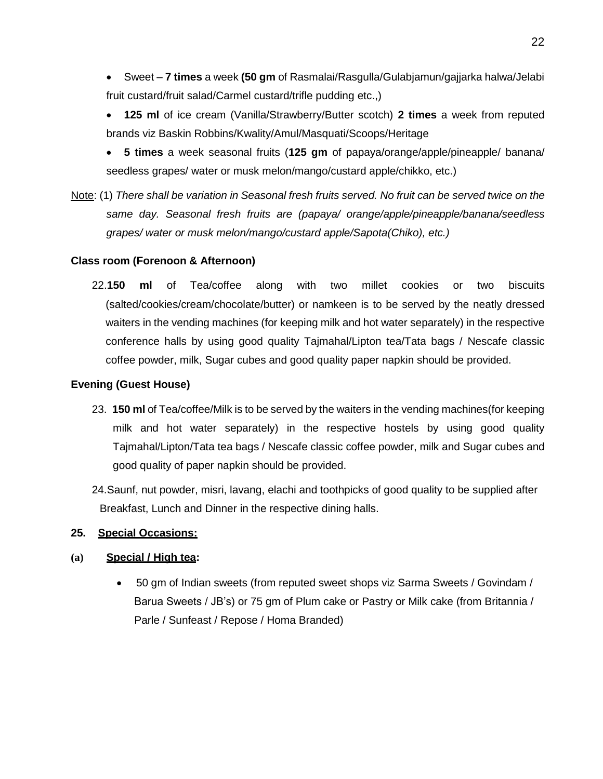- Sweet **7 times** a week **(50 gm** of Rasmalai/Rasgulla/Gulabjamun/gajjarka halwa/Jelabi fruit custard/fruit salad/Carmel custard/trifle pudding etc.,)
- **125 ml** of ice cream (Vanilla/Strawberry/Butter scotch) **2 times** a week from reputed brands viz Baskin Robbins/Kwality/Amul/Masquati/Scoops/Heritage
- **5 times** a week seasonal fruits (**125 gm** of papaya/orange/apple/pineapple/ banana/ seedless grapes/ water or musk melon/mango/custard apple/chikko, etc.)
- Note: (1) *There shall be variation in Seasonal fresh fruits served. No fruit can be served twice on the same day. Seasonal fresh fruits are (papaya/ orange/apple/pineapple/banana/seedless grapes/ water or musk melon/mango/custard apple/Sapota(Chiko), etc.)*

#### **Class room (Forenoon & Afternoon)**

22.**150 ml** of Tea/coffee along with two millet cookies or two biscuits (salted/cookies/cream/chocolate/butter) or namkeen is to be served by the neatly dressed waiters in the vending machines (for keeping milk and hot water separately) in the respective conference halls by using good quality Tajmahal/Lipton tea/Tata bags / Nescafe classic coffee powder, milk, Sugar cubes and good quality paper napkin should be provided.

#### **Evening (Guest House)**

- 23. **150 ml** of Tea/coffee/Milk is to be served by the waiters in the vending machines(for keeping milk and hot water separately) in the respective hostels by using good quality Tajmahal/Lipton/Tata tea bags / Nescafe classic coffee powder, milk and Sugar cubes and good quality of paper napkin should be provided.
- 24.Saunf, nut powder, misri, lavang, elachi and toothpicks of good quality to be supplied after Breakfast, Lunch and Dinner in the respective dining halls.

#### **25. Special Occasions:**

#### **(a) Special / High tea:**

 50 gm of Indian sweets (from reputed sweet shops viz Sarma Sweets / Govindam / Barua Sweets / JB's) or 75 gm of Plum cake or Pastry or Milk cake (from Britannia / Parle / Sunfeast / Repose / Homa Branded)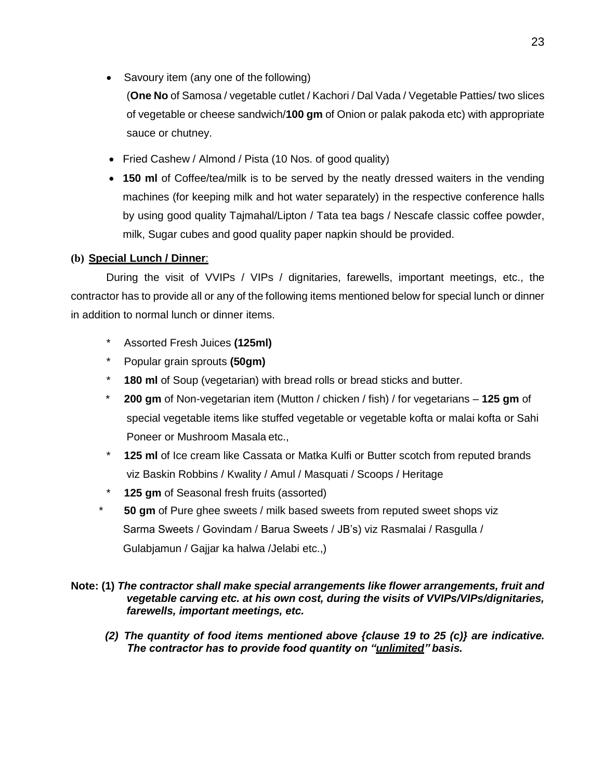• Savoury item (any one of the following)

(**One No** of Samosa / vegetable cutlet / Kachori / Dal Vada / Vegetable Patties/ two slices of vegetable or cheese sandwich/**100 gm** of Onion or palak pakoda etc) with appropriate sauce or chutney.

- Fried Cashew / Almond / Pista (10 Nos. of good quality)
- **150 ml** of Coffee/tea/milk is to be served by the neatly dressed waiters in the vending machines (for keeping milk and hot water separately) in the respective conference halls by using good quality Tajmahal/Lipton / Tata tea bags / Nescafe classic coffee powder, milk, Sugar cubes and good quality paper napkin should be provided.

#### **(b) Special Lunch / Dinner**:

During the visit of VVIPs / VIPs / dignitaries, farewells, important meetings, etc., the contractor has to provide all or any of the following items mentioned below for special lunch or dinner in addition to normal lunch or dinner items.

- \* Assorted Fresh Juices **(125ml)**
- \* Popular grain sprouts **(50gm)**
- \* **180 ml** of Soup (vegetarian) with bread rolls or bread sticks and butter.
- \* **200 gm** of Non-vegetarian item (Mutton / chicken / fish) / for vegetarians **125 gm** of special vegetable items like stuffed vegetable or vegetable kofta or malai kofta or Sahi Poneer or Mushroom Masala etc.,
- \* **125 ml** of Ice cream like Cassata or Matka Kulfi or Butter scotch from reputed brands viz Baskin Robbins / Kwality / Amul / Masquati / Scoops / Heritage
- \* **125 gm** of Seasonal fresh fruits (assorted)
- **50 gm** of Pure ghee sweets / milk based sweets from reputed sweet shops viz Sarma Sweets / Govindam / Barua Sweets / JB's) viz Rasmalai / Rasgulla / Gulabjamun / Gajjar ka halwa /Jelabi etc.,)

#### **Note: (1)** *The contractor shall make special arrangements like flower arrangements, fruit and vegetable carving etc. at his own cost, during the visits of VVIPs/VIPs/dignitaries, farewells, important meetings, etc.*

*(2) The quantity of food items mentioned above {clause 19 to 25 (c)} are indicative. The contractor has to provide food quantity on "unlimited" basis.*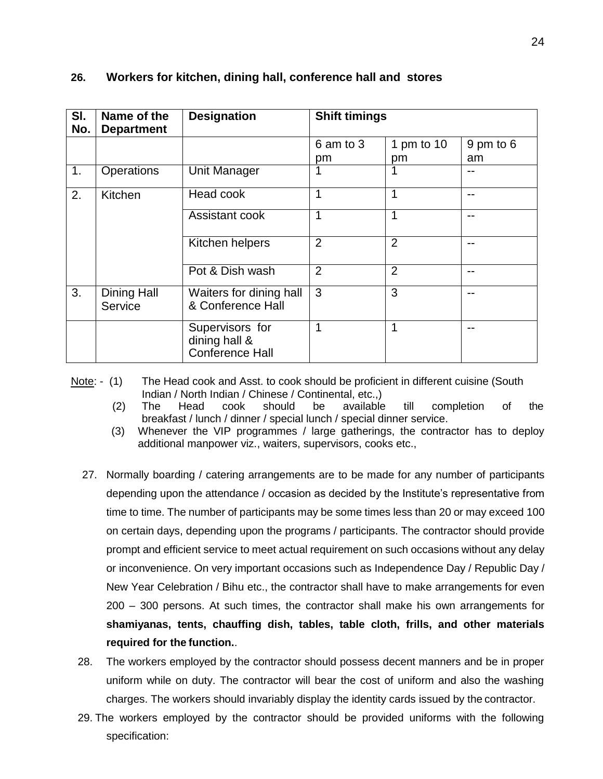| SI.<br>No. | Name of the<br><b>Department</b> | <b>Designation</b>                                         | <b>Shift timings</b> |                |           |
|------------|----------------------------------|------------------------------------------------------------|----------------------|----------------|-----------|
|            |                                  |                                                            | 6 am to 3            | 1 pm to $10$   | 9 pm to 6 |
|            |                                  |                                                            | pm                   | pm             | am        |
| 1.         | Operations                       | <b>Unit Manager</b>                                        |                      | 1              |           |
| 2.         | Kitchen                          | Head cook                                                  | 1                    | 1              | --        |
|            |                                  | Assistant cook                                             | 1                    | 1              | --        |
|            |                                  | Kitchen helpers                                            | $\overline{2}$       | $\overline{2}$ | --        |
|            |                                  | Pot & Dish wash                                            | $\overline{2}$       | $\overline{2}$ | --        |
| 3.         | <b>Dining Hall</b><br>Service    | Waiters for dining hall<br>& Conference Hall               | 3                    | 3              | --        |
|            |                                  | Supervisors for<br>dining hall &<br><b>Conference Hall</b> | 1                    | 1              |           |

#### **26. Workers for kitchen, dining hall, conference hall and stores**

Note: - (1) The Head cook and Asst. to cook should be proficient in different cuisine (South Indian / North Indian / Chinese / Continental, etc.,)

- (2) The Head cook should be available till completion of the breakfast / lunch / dinner / special lunch / special dinner service.
- (3) Whenever the VIP programmes / large gatherings, the contractor has to deploy additional manpower viz., waiters, supervisors, cooks etc.,
- 27. Normally boarding / catering arrangements are to be made for any number of participants depending upon the attendance / occasion as decided by the Institute's representative from time to time. The number of participants may be some times less than 20 or may exceed 100 on certain days, depending upon the programs / participants. The contractor should provide prompt and efficient service to meet actual requirement on such occasions without any delay or inconvenience. On very important occasions such as Independence Day / Republic Day / New Year Celebration / Bihu etc., the contractor shall have to make arrangements for even 200 – 300 persons. At such times, the contractor shall make his own arrangements for **shamiyanas, tents, chauffing dish, tables, table cloth, frills, and other materials required for the function.**.
- 28. The workers employed by the contractor should possess decent manners and be in proper uniform while on duty. The contractor will bear the cost of uniform and also the washing charges. The workers should invariably display the identity cards issued by the contractor.
- 29. The workers employed by the contractor should be provided uniforms with the following specification: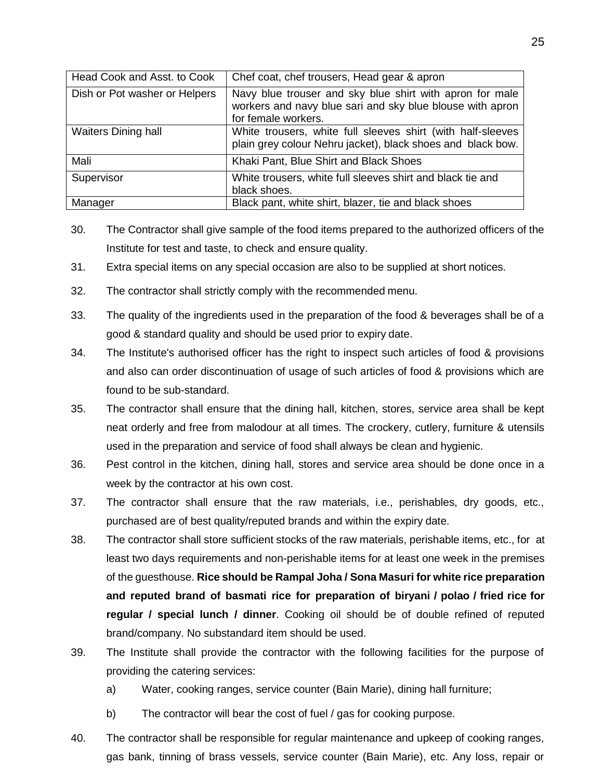| Head Cook and Asst. to Cook   | Chef coat, chef trousers, Head gear & apron                                                                                                  |
|-------------------------------|----------------------------------------------------------------------------------------------------------------------------------------------|
| Dish or Pot washer or Helpers | Navy blue trouser and sky blue shirt with apron for male<br>workers and navy blue sari and sky blue blouse with apron<br>for female workers. |
| <b>Waiters Dining hall</b>    | White trousers, white full sleeves shirt (with half-sleeves<br>plain grey colour Nehru jacket), black shoes and black bow.                   |
| Mali                          | Khaki Pant, Blue Shirt and Black Shoes                                                                                                       |
| Supervisor                    | White trousers, white full sleeves shirt and black tie and<br>black shoes.                                                                   |
| Manager                       | Black pant, white shirt, blazer, tie and black shoes                                                                                         |

- 30. The Contractor shall give sample of the food items prepared to the authorized officers of the Institute for test and taste, to check and ensure quality.
- 31. Extra special items on any special occasion are also to be supplied at short notices.
- 32. The contractor shall strictly comply with the recommended menu.
- 33. The quality of the ingredients used in the preparation of the food & beverages shall be of a good & standard quality and should be used prior to expiry date.
- 34. The Institute's authorised officer has the right to inspect such articles of food & provisions and also can order discontinuation of usage of such articles of food & provisions which are found to be sub-standard.
- 35. The contractor shall ensure that the dining hall, kitchen, stores, service area shall be kept neat orderly and free from malodour at all times. The crockery, cutlery, furniture & utensils used in the preparation and service of food shall always be clean and hygienic.
- 36. Pest control in the kitchen, dining hall, stores and service area should be done once in a week by the contractor at his own cost.
- 37. The contractor shall ensure that the raw materials, i.e., perishables, dry goods, etc., purchased are of best quality/reputed brands and within the expiry date.
- 38. The contractor shall store sufficient stocks of the raw materials, perishable items, etc., for at least two days requirements and non-perishable items for at least one week in the premises of the guesthouse. **Rice should be Rampal Joha / Sona Masuri for white rice preparation and reputed brand of basmati rice for preparation of biryani / polao / fried rice for regular / special lunch / dinner**. Cooking oil should be of double refined of reputed brand/company. No substandard item should be used.
- 39. The Institute shall provide the contractor with the following facilities for the purpose of providing the catering services:
	- a) Water, cooking ranges, service counter (Bain Marie), dining hall furniture;
	- b) The contractor will bear the cost of fuel / gas for cooking purpose.
- 40. The contractor shall be responsible for regular maintenance and upkeep of cooking ranges, gas bank, tinning of brass vessels, service counter (Bain Marie), etc. Any loss, repair or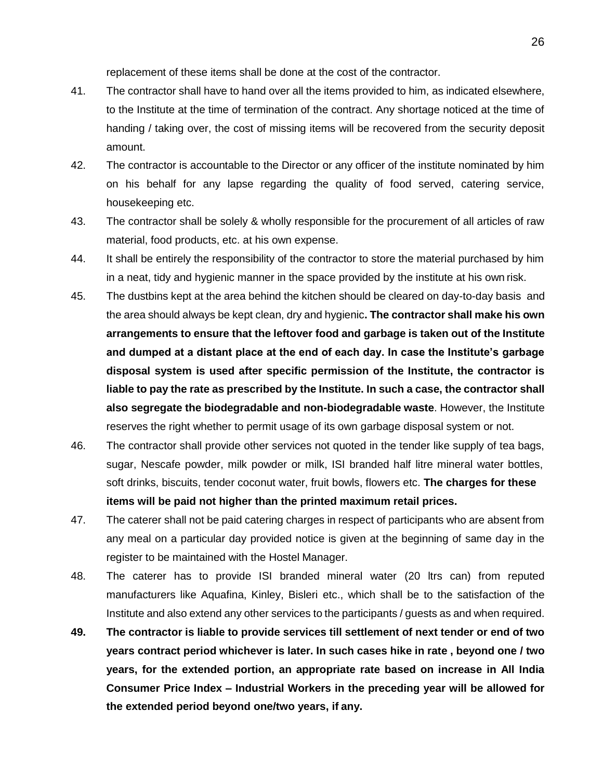replacement of these items shall be done at the cost of the contractor.

- 41. The contractor shall have to hand over all the items provided to him, as indicated elsewhere, to the Institute at the time of termination of the contract. Any shortage noticed at the time of handing / taking over, the cost of missing items will be recovered from the security deposit amount.
- 42. The contractor is accountable to the Director or any officer of the institute nominated by him on his behalf for any lapse regarding the quality of food served, catering service, housekeeping etc.
- 43. The contractor shall be solely & wholly responsible for the procurement of all articles of raw material, food products, etc. at his own expense.
- 44. It shall be entirely the responsibility of the contractor to store the material purchased by him in a neat, tidy and hygienic manner in the space provided by the institute at his own risk.
- 45. The dustbins kept at the area behind the kitchen should be cleared on day-to-day basis and the area should always be kept clean, dry and hygienic**. The contractor shall make his own arrangements to ensure that the leftover food and garbage is taken out of the Institute and dumped at a distant place at the end of each day. In case the Institute's garbage disposal system is used after specific permission of the Institute, the contractor is liable to pay the rate as prescribed by the Institute. In such a case, the contractor shall also segregate the biodegradable and non-biodegradable waste**. However, the Institute reserves the right whether to permit usage of its own garbage disposal system or not.
- 46. The contractor shall provide other services not quoted in the tender like supply of tea bags, sugar, Nescafe powder, milk powder or milk, ISI branded half litre mineral water bottles, soft drinks, biscuits, tender coconut water, fruit bowls, flowers etc. **The charges for these items will be paid not higher than the printed maximum retail prices.**
- 47. The caterer shall not be paid catering charges in respect of participants who are absent from any meal on a particular day provided notice is given at the beginning of same day in the register to be maintained with the Hostel Manager.
- 48. The caterer has to provide ISI branded mineral water (20 ltrs can) from reputed manufacturers like Aquafina, Kinley, Bisleri etc., which shall be to the satisfaction of the Institute and also extend any other services to the participants / guests as and when required.
- **49. The contractor is liable to provide services till settlement of next tender or end of two years contract period whichever is later. In such cases hike in rate , beyond one / two years, for the extended portion, an appropriate rate based on increase in All India Consumer Price Index – Industrial Workers in the preceding year will be allowed for the extended period beyond one/two years, if any.**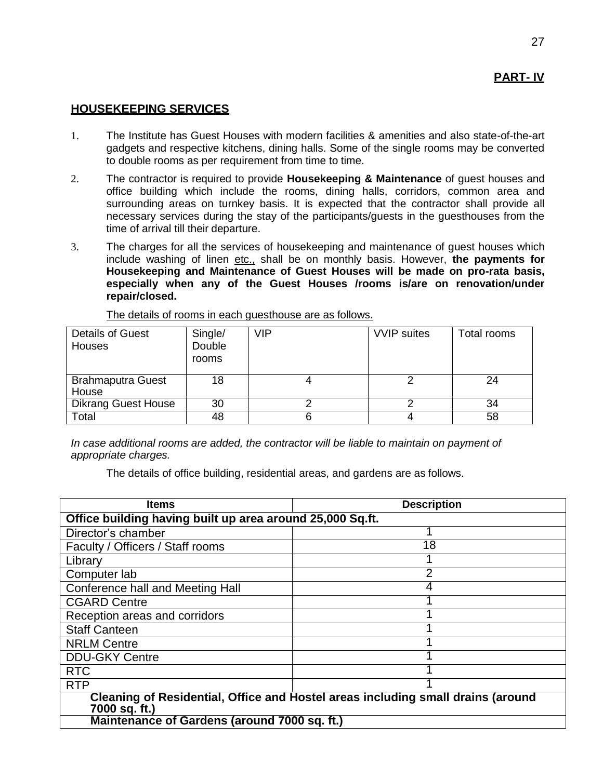#### **HOUSEKEEPING SERVICES**

- 1. The Institute has Guest Houses with modern facilities & amenities and also state-of-the-art gadgets and respective kitchens, dining halls. Some of the single rooms may be converted to double rooms as per requirement from time to time.
- 2. The contractor is required to provide **Housekeeping & Maintenance** of guest houses and office building which include the rooms, dining halls, corridors, common area and surrounding areas on turnkey basis. It is expected that the contractor shall provide all necessary services during the stay of the participants/guests in the guesthouses from the time of arrival till their departure.
- 3. The charges for all the services of housekeeping and maintenance of guest houses which include washing of linen etc., shall be on monthly basis. However, the payments for **Housekeeping and Maintenance of Guest Houses will be made on pro-rata basis, especially when any of the Guest Houses /rooms is/are on renovation/under repair/closed.**

| <b>Details of Guest</b><br><b>Houses</b> | Single/<br>Double<br>rooms | VIP | <b>VVIP</b> suites | Total rooms |
|------------------------------------------|----------------------------|-----|--------------------|-------------|
| <b>Brahmaputra Guest</b><br>House        | 18                         |     |                    | 24          |
|                                          |                            |     |                    |             |
| <b>Dikrang Guest House</b>               | 30                         |     |                    | 34          |
| Total                                    | 48                         | 6   |                    | 58          |

The details of rooms in each guesthouse are as follows.

*In case additional rooms are added, the contractor will be liable to maintain on payment of appropriate charges.*

The details of office building, residential areas, and gardens are as follows.

| <b>Items</b>                                                                                     | <b>Description</b> |  |  |  |
|--------------------------------------------------------------------------------------------------|--------------------|--|--|--|
| Office building having built up area around 25,000 Sq.ft.                                        |                    |  |  |  |
| Director's chamber                                                                               |                    |  |  |  |
| Faculty / Officers / Staff rooms                                                                 | 18                 |  |  |  |
| Library                                                                                          |                    |  |  |  |
| Computer lab                                                                                     | 2                  |  |  |  |
| Conference hall and Meeting Hall                                                                 | 4                  |  |  |  |
| <b>CGARD Centre</b>                                                                              |                    |  |  |  |
| Reception areas and corridors                                                                    |                    |  |  |  |
| <b>Staff Canteen</b>                                                                             |                    |  |  |  |
| <b>NRLM Centre</b>                                                                               |                    |  |  |  |
| <b>DDU-GKY Centre</b>                                                                            |                    |  |  |  |
| <b>RTC</b>                                                                                       |                    |  |  |  |
| <b>RTP</b>                                                                                       |                    |  |  |  |
| Cleaning of Residential, Office and Hostel areas including small drains (around<br>7000 sq. ft.) |                    |  |  |  |
| Maintenance of Gardens (around 7000 sq. ft.)                                                     |                    |  |  |  |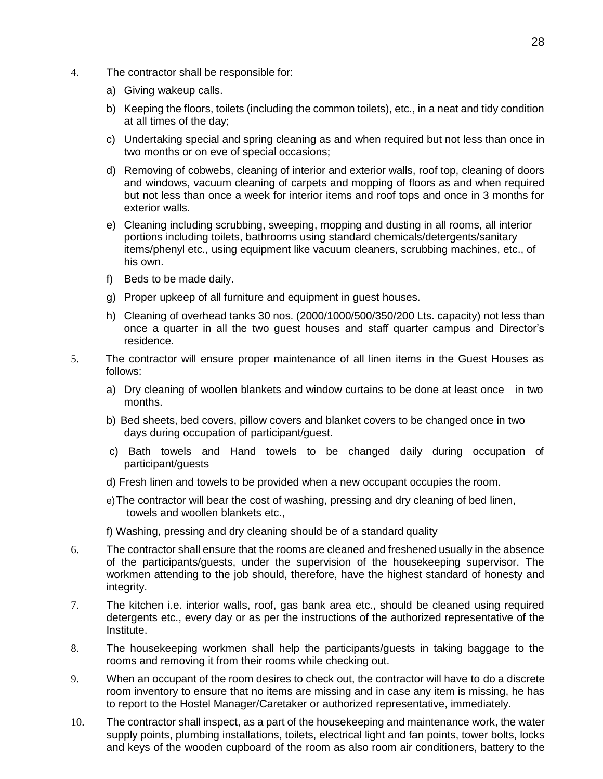- 4. The contractor shall be responsible for:
	- a) Giving wakeup calls.
	- b) Keeping the floors, toilets (including the common toilets), etc., in a neat and tidy condition at all times of the day;
	- c) Undertaking special and spring cleaning as and when required but not less than once in two months or on eve of special occasions;
	- d) Removing of cobwebs, cleaning of interior and exterior walls, roof top, cleaning of doors and windows, vacuum cleaning of carpets and mopping of floors as and when required but not less than once a week for interior items and roof tops and once in 3 months for exterior walls.
	- e) Cleaning including scrubbing, sweeping, mopping and dusting in all rooms, all interior portions including toilets, bathrooms using standard chemicals/detergents/sanitary items/phenyl etc., using equipment like vacuum cleaners, scrubbing machines, etc., of his own.
	- f) Beds to be made daily.
	- g) Proper upkeep of all furniture and equipment in guest houses.
	- h) Cleaning of overhead tanks 30 nos. (2000/1000/500/350/200 Lts. capacity) not less than once a quarter in all the two guest houses and staff quarter campus and Director's residence.
- 5. The contractor will ensure proper maintenance of all linen items in the Guest Houses as follows:
	- a) Dry cleaning of woollen blankets and window curtains to be done at least once in two months.
	- b) Bed sheets, bed covers, pillow covers and blanket covers to be changed once in two days during occupation of participant/guest.
	- c) Bath towels and Hand towels to be changed daily during occupation of participant/guests
	- d) Fresh linen and towels to be provided when a new occupant occupies the room.
	- e)The contractor will bear the cost of washing, pressing and dry cleaning of bed linen, towels and woollen blankets etc.,
	- f) Washing, pressing and dry cleaning should be of a standard quality
- 6. The contractor shall ensure that the rooms are cleaned and freshened usually in the absence of the participants/guests, under the supervision of the housekeeping supervisor. The workmen attending to the job should, therefore, have the highest standard of honesty and integrity.
- 7. The kitchen i.e. interior walls, roof, gas bank area etc., should be cleaned using required detergents etc., every day or as per the instructions of the authorized representative of the Institute.
- 8. The housekeeping workmen shall help the participants/guests in taking baggage to the rooms and removing it from their rooms while checking out.
- 9. When an occupant of the room desires to check out, the contractor will have to do a discrete room inventory to ensure that no items are missing and in case any item is missing, he has to report to the Hostel Manager/Caretaker or authorized representative, immediately.
- 10. The contractor shall inspect, as a part of the housekeeping and maintenance work, the water supply points, plumbing installations, toilets, electrical light and fan points, tower bolts, locks and keys of the wooden cupboard of the room as also room air conditioners, battery to the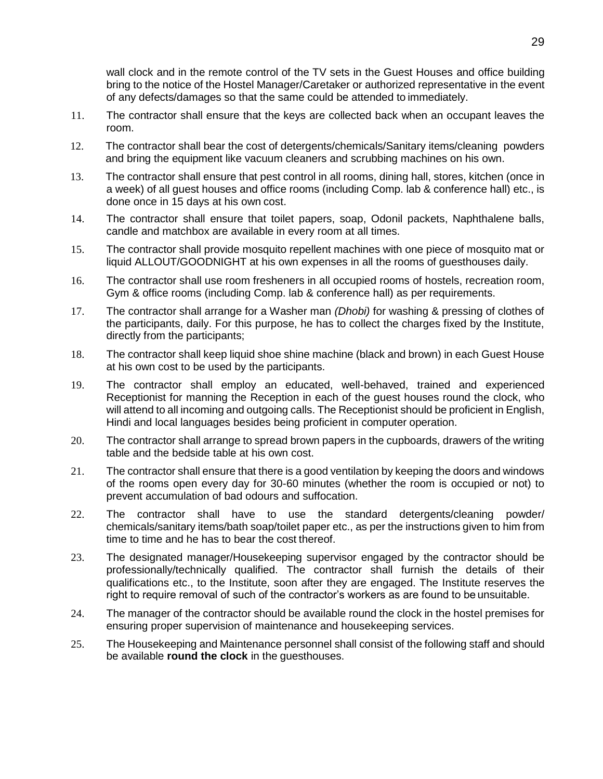wall clock and in the remote control of the TV sets in the Guest Houses and office building bring to the notice of the Hostel Manager/Caretaker or authorized representative in the event of any defects/damages so that the same could be attended to immediately.

- 11. The contractor shall ensure that the keys are collected back when an occupant leaves the room.
- 12. The contractor shall bear the cost of detergents/chemicals/Sanitary items/cleaning powders and bring the equipment like vacuum cleaners and scrubbing machines on his own.
- 13. The contractor shall ensure that pest control in all rooms, dining hall, stores, kitchen (once in a week) of all guest houses and office rooms (including Comp. lab & conference hall) etc., is done once in 15 days at his own cost.
- 14. The contractor shall ensure that toilet papers, soap, Odonil packets, Naphthalene balls, candle and matchbox are available in every room at all times.
- 15. The contractor shall provide mosquito repellent machines with one piece of mosquito mat or liquid ALLOUT/GOODNIGHT at his own expenses in all the rooms of guesthouses daily.
- 16. The contractor shall use room fresheners in all occupied rooms of hostels, recreation room, Gym & office rooms (including Comp. lab & conference hall) as per requirements.
- 17. The contractor shall arrange for a Washer man *(Dhobi)* for washing & pressing of clothes of the participants, daily. For this purpose, he has to collect the charges fixed by the Institute, directly from the participants;
- 18. The contractor shall keep liquid shoe shine machine (black and brown) in each Guest House at his own cost to be used by the participants.
- 19. The contractor shall employ an educated, well-behaved, trained and experienced Receptionist for manning the Reception in each of the guest houses round the clock, who will attend to all incoming and outgoing calls. The Receptionist should be proficient in English, Hindi and local languages besides being proficient in computer operation.
- 20. The contractor shall arrange to spread brown papers in the cupboards, drawers of the writing table and the bedside table at his own cost.
- 21. The contractor shall ensure that there is a good ventilation by keeping the doors and windows of the rooms open every day for 30-60 minutes (whether the room is occupied or not) to prevent accumulation of bad odours and suffocation.
- 22. The contractor shall have to use the standard detergents/cleaning powder/ chemicals/sanitary items/bath soap/toilet paper etc., as per the instructions given to him from time to time and he has to bear the cost thereof.
- 23. The designated manager/Housekeeping supervisor engaged by the contractor should be professionally/technically qualified. The contractor shall furnish the details of their qualifications etc., to the Institute, soon after they are engaged. The Institute reserves the right to require removal of such of the contractor's workers as are found to be unsuitable.
- 24. The manager of the contractor should be available round the clock in the hostel premises for ensuring proper supervision of maintenance and housekeeping services.
- 25. The Housekeeping and Maintenance personnel shall consist of the following staff and should be available **round the clock** in the guesthouses.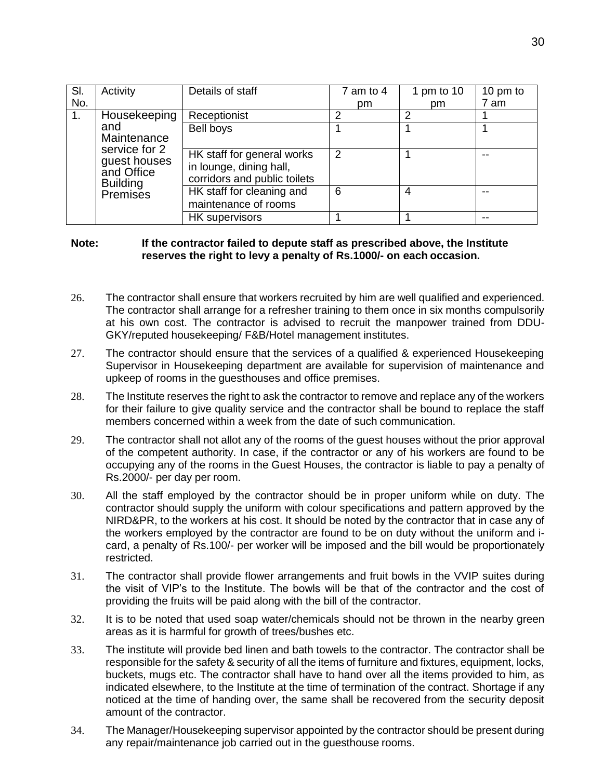| SI. | Activity                                                       | Details of staff                                                                      | $7$ am to $4$ | 1 pm to 10 | 10 pm to |
|-----|----------------------------------------------------------------|---------------------------------------------------------------------------------------|---------------|------------|----------|
| No. |                                                                |                                                                                       | pm            | pm         | 7 am     |
| 1.  | Housekeeping                                                   | Receptionist                                                                          | っ             | າ          |          |
|     | and<br>Maintenance                                             | Bell boys                                                                             |               |            |          |
|     | service for 2<br>guest houses<br>and Office<br><b>Building</b> | HK staff for general works<br>in lounge, dining hall,<br>corridors and public toilets | $\mathcal{P}$ |            |          |
|     | Premises                                                       | HK staff for cleaning and<br>maintenance of rooms                                     | 6             | 4          |          |
|     |                                                                | HK supervisors                                                                        |               |            | --       |

#### **Note: If the contractor failed to depute staff as prescribed above, the Institute reserves the right to levy a penalty of Rs.1000/- on each occasion.**

- 26. The contractor shall ensure that workers recruited by him are well qualified and experienced. The contractor shall arrange for a refresher training to them once in six months compulsorily at his own cost. The contractor is advised to recruit the manpower trained from DDU-GKY/reputed housekeeping/ F&B/Hotel management institutes.
- 27. The contractor should ensure that the services of a qualified & experienced Housekeeping Supervisor in Housekeeping department are available for supervision of maintenance and upkeep of rooms in the guesthouses and office premises.
- 28. The Institute reserves the right to ask the contractor to remove and replace any of the workers for their failure to give quality service and the contractor shall be bound to replace the staff members concerned within a week from the date of such communication.
- 29. The contractor shall not allot any of the rooms of the guest houses without the prior approval of the competent authority. In case, if the contractor or any of his workers are found to be occupying any of the rooms in the Guest Houses, the contractor is liable to pay a penalty of Rs.2000/- per day per room.
- 30. All the staff employed by the contractor should be in proper uniform while on duty. The contractor should supply the uniform with colour specifications and pattern approved by the NIRD&PR, to the workers at his cost. It should be noted by the contractor that in case any of the workers employed by the contractor are found to be on duty without the uniform and icard, a penalty of Rs.100/- per worker will be imposed and the bill would be proportionately restricted.
- 31. The contractor shall provide flower arrangements and fruit bowls in the VVIP suites during the visit of VIP's to the Institute. The bowls will be that of the contractor and the cost of providing the fruits will be paid along with the bill of the contractor.
- 32. It is to be noted that used soap water/chemicals should not be thrown in the nearby green areas as it is harmful for growth of trees/bushes etc.
- 33. The institute will provide bed linen and bath towels to the contractor. The contractor shall be responsible for the safety & security of all the items of furniture and fixtures, equipment, locks, buckets, mugs etc. The contractor shall have to hand over all the items provided to him, as indicated elsewhere, to the Institute at the time of termination of the contract. Shortage if any noticed at the time of handing over, the same shall be recovered from the security deposit amount of the contractor.
- 34. The Manager/Housekeeping supervisor appointed by the contractor should be present during any repair/maintenance job carried out in the questhouse rooms.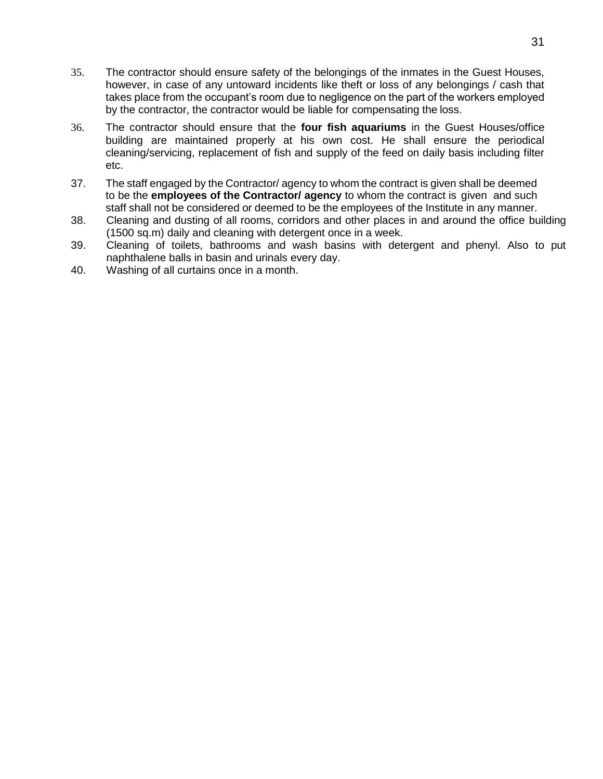- 35. The contractor should ensure safety of the belongings of the inmates in the Guest Houses, however, in case of any untoward incidents like theft or loss of any belongings / cash that takes place from the occupant's room due to negligence on the part of the workers employed by the contractor, the contractor would be liable for compensating the loss.
- 36. The contractor should ensure that the **four fish aquariums** in the Guest Houses/office building are maintained properly at his own cost. He shall ensure the periodical cleaning/servicing, replacement of fish and supply of the feed on daily basis including filter etc.
- 37. The staff engaged by the Contractor/ agency to whom the contract is given shall be deemed to be the **employees of the Contractor/ agency** to whom the contract is given and such staff shall not be considered or deemed to be the employees of the Institute in any manner.
- 38. Cleaning and dusting of all rooms, corridors and other places in and around the office building (1500 sq.m) daily and cleaning with detergent once in a week.
- 39. Cleaning of toilets, bathrooms and wash basins with detergent and phenyl. Also to put naphthalene balls in basin and urinals every day.
- 40. Washing of all curtains once in a month.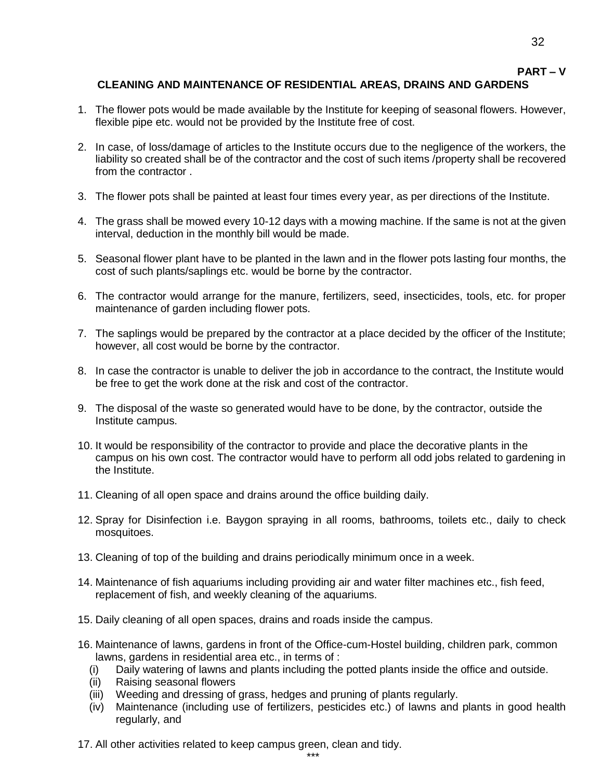# **PART – V**

32

#### **CLEANING AND MAINTENANCE OF RESIDENTIAL AREAS, DRAINS AND GARDENS**

- 1. The flower pots would be made available by the Institute for keeping of seasonal flowers. However, flexible pipe etc. would not be provided by the Institute free of cost.
- 2. In case, of loss/damage of articles to the Institute occurs due to the negligence of the workers, the liability so created shall be of the contractor and the cost of such items /property shall be recovered from the contractor .
- 3. The flower pots shall be painted at least four times every year, as per directions of the Institute.
- 4. The grass shall be mowed every 10-12 days with a mowing machine. If the same is not at the given interval, deduction in the monthly bill would be made.
- 5. Seasonal flower plant have to be planted in the lawn and in the flower pots lasting four months, the cost of such plants/saplings etc. would be borne by the contractor.
- 6. The contractor would arrange for the manure, fertilizers, seed, insecticides, tools, etc. for proper maintenance of garden including flower pots.
- 7. The saplings would be prepared by the contractor at a place decided by the officer of the Institute; however, all cost would be borne by the contractor.
- 8. In case the contractor is unable to deliver the job in accordance to the contract, the Institute would be free to get the work done at the risk and cost of the contractor.
- 9. The disposal of the waste so generated would have to be done, by the contractor, outside the Institute campus.
- 10. It would be responsibility of the contractor to provide and place the decorative plants in the campus on his own cost. The contractor would have to perform all odd jobs related to gardening in the Institute.
- 11. Cleaning of all open space and drains around the office building daily.
- 12. Spray for Disinfection i.e. Baygon spraying in all rooms, bathrooms, toilets etc., daily to check mosquitoes.
- 13. Cleaning of top of the building and drains periodically minimum once in a week.
- 14. Maintenance of fish aquariums including providing air and water filter machines etc., fish feed, replacement of fish, and weekly cleaning of the aquariums.
- 15. Daily cleaning of all open spaces, drains and roads inside the campus.
- 16. Maintenance of lawns, gardens in front of the Office-cum-Hostel building, children park, common lawns, gardens in residential area etc., in terms of :
	- (i) Daily watering of lawns and plants including the potted plants inside the office and outside.
	- (ii) Raising seasonal flowers
	- (iii) Weeding and dressing of grass, hedges and pruning of plants regularly.
	- (iv) Maintenance (including use of fertilizers, pesticides etc.) of lawns and plants in good health regularly, and
- 17. All other activities related to keep campus green, clean and tidy.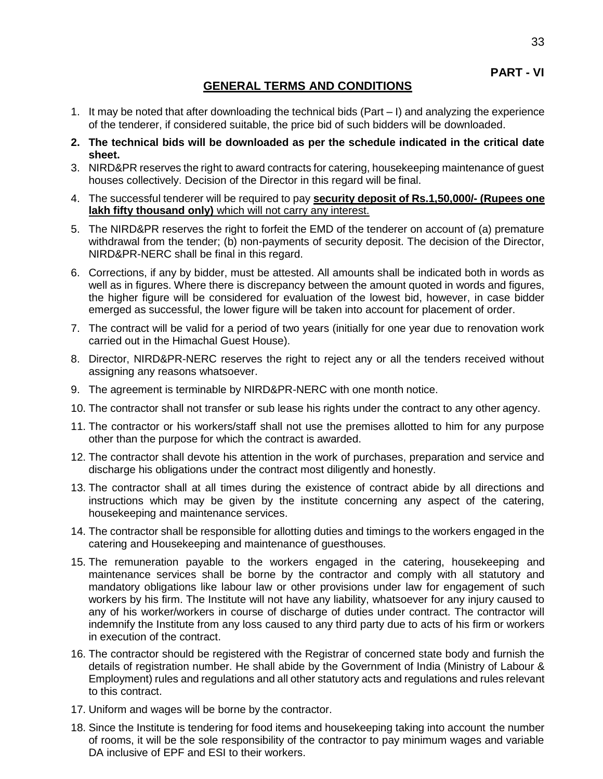**PART - VI**

### **GENERAL TERMS AND CONDITIONS**

- 1. It may be noted that after downloading the technical bids (Part I) and analyzing the experience of the tenderer, if considered suitable, the price bid of such bidders will be downloaded.
- **2. The technical bids will be downloaded as per the schedule indicated in the critical date sheet.**
- 3. NIRD&PR reserves the right to award contracts for catering, housekeeping maintenance of guest houses collectively. Decision of the Director in this regard will be final.
- 4. The successful tenderer will be required to pay **security deposit of Rs.1,50,000/- (Rupees one lakh fifty thousand only)** which will not carry any interest.
- 5. The NIRD&PR reserves the right to forfeit the EMD of the tenderer on account of (a) premature withdrawal from the tender; (b) non-payments of security deposit. The decision of the Director, NIRD&PR-NERC shall be final in this regard.
- 6. Corrections, if any by bidder, must be attested. All amounts shall be indicated both in words as well as in figures. Where there is discrepancy between the amount quoted in words and figures, the higher figure will be considered for evaluation of the lowest bid, however, in case bidder emerged as successful, the lower figure will be taken into account for placement of order.
- 7. The contract will be valid for a period of two years (initially for one year due to renovation work carried out in the Himachal Guest House).
- 8. Director, NIRD&PR-NERC reserves the right to reject any or all the tenders received without assigning any reasons whatsoever.
- 9. The agreement is terminable by NIRD&PR-NERC with one month notice.
- 10. The contractor shall not transfer or sub lease his rights under the contract to any other agency.
- 11. The contractor or his workers/staff shall not use the premises allotted to him for any purpose other than the purpose for which the contract is awarded.
- 12. The contractor shall devote his attention in the work of purchases, preparation and service and discharge his obligations under the contract most diligently and honestly.
- 13. The contractor shall at all times during the existence of contract abide by all directions and instructions which may be given by the institute concerning any aspect of the catering, housekeeping and maintenance services.
- 14. The contractor shall be responsible for allotting duties and timings to the workers engaged in the catering and Housekeeping and maintenance of guesthouses.
- 15. The remuneration payable to the workers engaged in the catering, housekeeping and maintenance services shall be borne by the contractor and comply with all statutory and mandatory obligations like labour law or other provisions under law for engagement of such workers by his firm. The Institute will not have any liability, whatsoever for any injury caused to any of his worker/workers in course of discharge of duties under contract. The contractor will indemnify the Institute from any loss caused to any third party due to acts of his firm or workers in execution of the contract.
- 16. The contractor should be registered with the Registrar of concerned state body and furnish the details of registration number. He shall abide by the Government of India (Ministry of Labour & Employment) rules and regulations and all other statutory acts and regulations and rules relevant to this contract.
- 17. Uniform and wages will be borne by the contractor.
- 18. Since the Institute is tendering for food items and housekeeping taking into account the number of rooms, it will be the sole responsibility of the contractor to pay minimum wages and variable DA inclusive of EPF and ESI to their workers.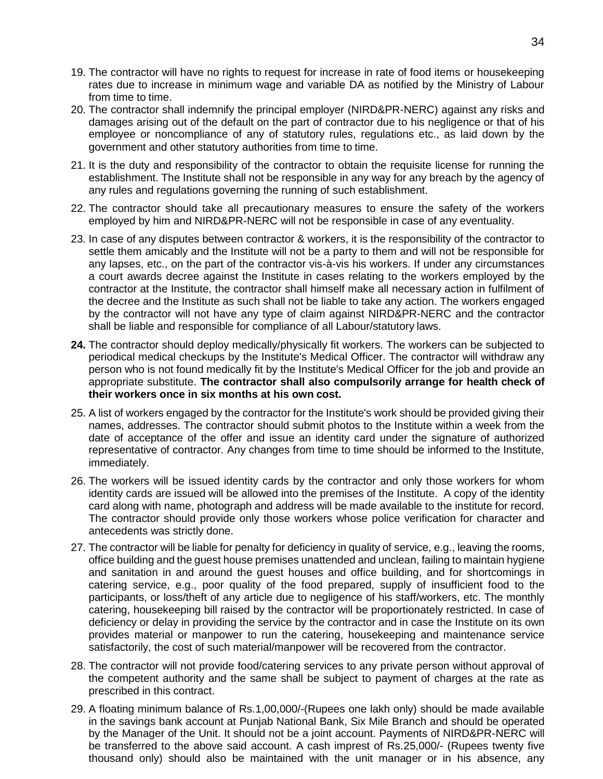- 19. The contractor will have no rights to request for increase in rate of food items or housekeeping rates due to increase in minimum wage and variable DA as notified by the Ministry of Labour from time to time.
- 20. The contractor shall indemnify the principal employer (NIRD&PR-NERC) against any risks and damages arising out of the default on the part of contractor due to his negligence or that of his employee or noncompliance of any of statutory rules, regulations etc., as laid down by the government and other statutory authorities from time to time.
- 21. It is the duty and responsibility of the contractor to obtain the requisite license for running the establishment. The Institute shall not be responsible in any way for any breach by the agency of any rules and regulations governing the running of such establishment.
- 22. The contractor should take all precautionary measures to ensure the safety of the workers employed by him and NIRD&PR-NERC will not be responsible in case of any eventuality.
- 23. In case of any disputes between contractor & workers, it is the responsibility of the contractor to settle them amicably and the Institute will not be a party to them and will not be responsible for any lapses, etc., on the part of the contractor vis-à-vis his workers. If under any circumstances a court awards decree against the Institute in cases relating to the workers employed by the contractor at the Institute, the contractor shall himself make all necessary action in fulfilment of the decree and the Institute as such shall not be liable to take any action. The workers engaged by the contractor will not have any type of claim against NIRD&PR-NERC and the contractor shall be liable and responsible for compliance of all Labour/statutory laws.
- **24.** The contractor should deploy medically/physically fit workers. The workers can be subjected to periodical medical checkups by the Institute's Medical Officer. The contractor will withdraw any person who is not found medically fit by the Institute's Medical Officer for the job and provide an appropriate substitute. **The contractor shall also compulsorily arrange for health check of their workers once in six months at his own cost.**
- 25. A list of workers engaged by the contractor for the Institute's work should be provided giving their names, addresses. The contractor should submit photos to the Institute within a week from the date of acceptance of the offer and issue an identity card under the signature of authorized representative of contractor. Any changes from time to time should be informed to the Institute, immediately.
- 26. The workers will be issued identity cards by the contractor and only those workers for whom identity cards are issued will be allowed into the premises of the Institute. A copy of the identity card along with name, photograph and address will be made available to the institute for record. The contractor should provide only those workers whose police verification for character and antecedents was strictly done.
- 27. The contractor will be liable for penalty for deficiency in quality of service, e.g., leaving the rooms, office building and the guest house premises unattended and unclean, failing to maintain hygiene and sanitation in and around the guest houses and office building, and for shortcomings in catering service, e.g., poor quality of the food prepared, supply of insufficient food to the participants, or loss/theft of any article due to negligence of his staff/workers, etc. The monthly catering, housekeeping bill raised by the contractor will be proportionately restricted. In case of deficiency or delay in providing the service by the contractor and in case the Institute on its own provides material or manpower to run the catering, housekeeping and maintenance service satisfactorily, the cost of such material/manpower will be recovered from the contractor.
- 28. The contractor will not provide food/catering services to any private person without approval of the competent authority and the same shall be subject to payment of charges at the rate as prescribed in this contract.
- 29. A floating minimum balance of Rs.1,00,000/-(Rupees one lakh only) should be made available in the savings bank account at Punjab National Bank, Six Mile Branch and should be operated by the Manager of the Unit. It should not be a joint account. Payments of NIRD&PR-NERC will be transferred to the above said account. A cash imprest of Rs.25,000/- (Rupees twenty five thousand only) should also be maintained with the unit manager or in his absence, any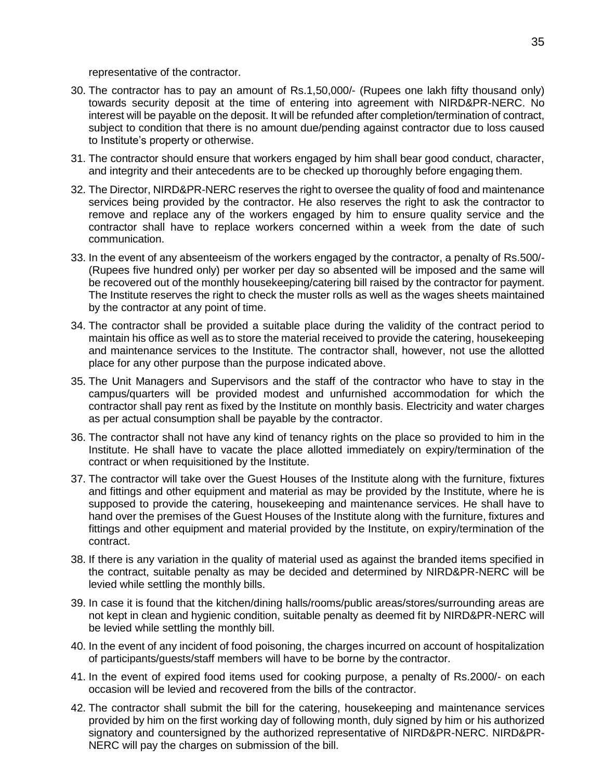representative of the contractor.

- 30. The contractor has to pay an amount of Rs.1,50,000/- (Rupees one lakh fifty thousand only) towards security deposit at the time of entering into agreement with NIRD&PR-NERC. No interest will be payable on the deposit. It will be refunded after completion/termination of contract, subject to condition that there is no amount due/pending against contractor due to loss caused to Institute's property or otherwise.
- 31. The contractor should ensure that workers engaged by him shall bear good conduct, character, and integrity and their antecedents are to be checked up thoroughly before engaging them.
- 32. The Director, NIRD&PR-NERC reserves the right to oversee the quality of food and maintenance services being provided by the contractor. He also reserves the right to ask the contractor to remove and replace any of the workers engaged by him to ensure quality service and the contractor shall have to replace workers concerned within a week from the date of such communication.
- 33. In the event of any absenteeism of the workers engaged by the contractor, a penalty of Rs.500/- (Rupees five hundred only) per worker per day so absented will be imposed and the same will be recovered out of the monthly housekeeping/catering bill raised by the contractor for payment. The Institute reserves the right to check the muster rolls as well as the wages sheets maintained by the contractor at any point of time.
- 34. The contractor shall be provided a suitable place during the validity of the contract period to maintain his office as well as to store the material received to provide the catering, housekeeping and maintenance services to the Institute. The contractor shall, however, not use the allotted place for any other purpose than the purpose indicated above.
- 35. The Unit Managers and Supervisors and the staff of the contractor who have to stay in the campus/quarters will be provided modest and unfurnished accommodation for which the contractor shall pay rent as fixed by the Institute on monthly basis. Electricity and water charges as per actual consumption shall be payable by the contractor.
- 36. The contractor shall not have any kind of tenancy rights on the place so provided to him in the Institute. He shall have to vacate the place allotted immediately on expiry/termination of the contract or when requisitioned by the Institute.
- 37. The contractor will take over the Guest Houses of the Institute along with the furniture, fixtures and fittings and other equipment and material as may be provided by the Institute, where he is supposed to provide the catering, housekeeping and maintenance services. He shall have to hand over the premises of the Guest Houses of the Institute along with the furniture, fixtures and fittings and other equipment and material provided by the Institute, on expiry/termination of the contract.
- 38. If there is any variation in the quality of material used as against the branded items specified in the contract, suitable penalty as may be decided and determined by NIRD&PR-NERC will be levied while settling the monthly bills.
- 39. In case it is found that the kitchen/dining halls/rooms/public areas/stores/surrounding areas are not kept in clean and hygienic condition, suitable penalty as deemed fit by NIRD&PR-NERC will be levied while settling the monthly bill.
- 40. In the event of any incident of food poisoning, the charges incurred on account of hospitalization of participants/guests/staff members will have to be borne by the contractor.
- 41. In the event of expired food items used for cooking purpose, a penalty of Rs.2000/- on each occasion will be levied and recovered from the bills of the contractor.
- 42. The contractor shall submit the bill for the catering, housekeeping and maintenance services provided by him on the first working day of following month, duly signed by him or his authorized signatory and countersigned by the authorized representative of NIRD&PR-NERC. NIRD&PR-NERC will pay the charges on submission of the bill.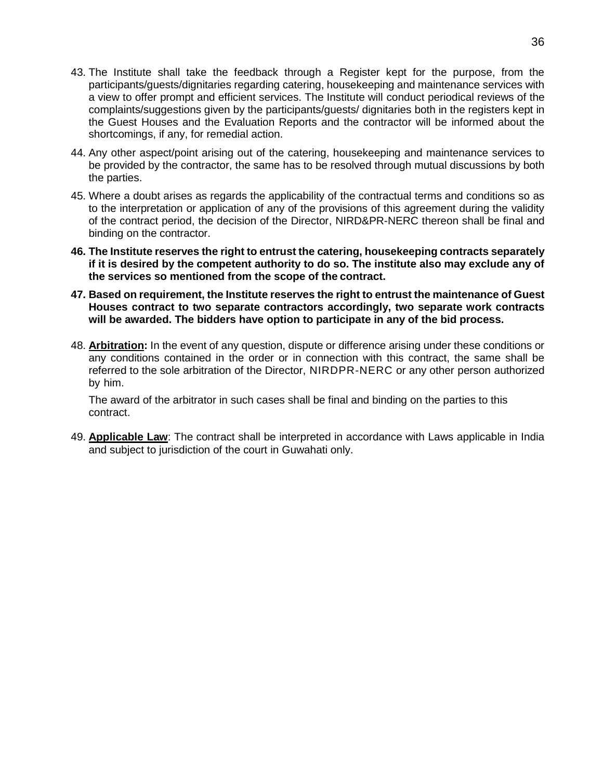- 43. The Institute shall take the feedback through a Register kept for the purpose, from the participants/guests/dignitaries regarding catering, housekeeping and maintenance services with a view to offer prompt and efficient services. The Institute will conduct periodical reviews of the complaints/suggestions given by the participants/guests/ dignitaries both in the registers kept in the Guest Houses and the Evaluation Reports and the contractor will be informed about the shortcomings, if any, for remedial action.
- 44. Any other aspect/point arising out of the catering, housekeeping and maintenance services to be provided by the contractor, the same has to be resolved through mutual discussions by both the parties.
- 45. Where a doubt arises as regards the applicability of the contractual terms and conditions so as to the interpretation or application of any of the provisions of this agreement during the validity of the contract period, the decision of the Director, NIRD&PR-NERC thereon shall be final and binding on the contractor.
- **46. The Institute reserves the right to entrust the catering, housekeeping contracts separately if it is desired by the competent authority to do so. The institute also may exclude any of the services so mentioned from the scope of the contract.**
- **47. Based on requirement, the Institute reserves the right to entrust the maintenance of Guest Houses contract to two separate contractors accordingly, two separate work contracts will be awarded. The bidders have option to participate in any of the bid process.**
- 48. **Arbitration:** In the event of any question, dispute or difference arising under these conditions or any conditions contained in the order or in connection with this contract, the same shall be referred to the sole arbitration of the Director, NIRDPR-NERC or any other person authorized by him.

The award of the arbitrator in such cases shall be final and binding on the parties to this contract.

49. **Applicable Law**: The contract shall be interpreted in accordance with Laws applicable in India and subject to jurisdiction of the court in Guwahati only.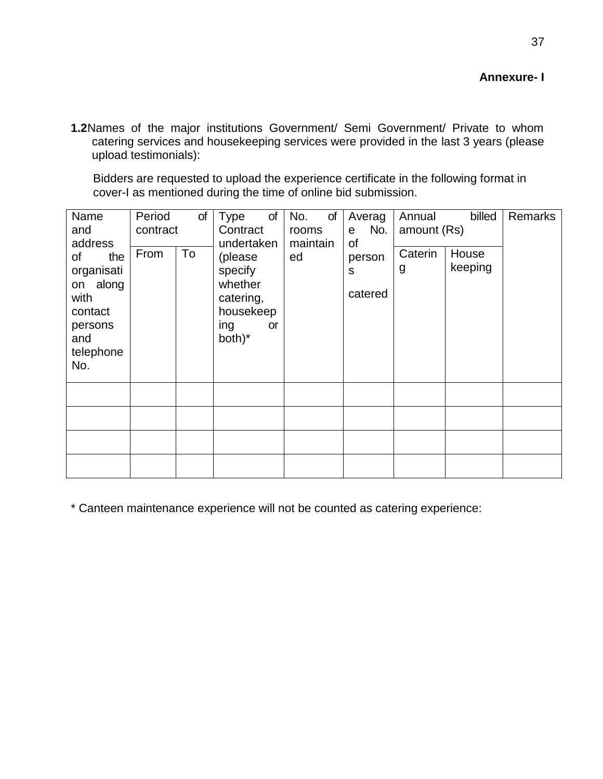37

**1.2**Names of the major institutions Government/ Semi Government/ Private to whom catering services and housekeeping services were provided in the last 3 years (please upload testimonials):

Bidders are requested to upload the experience certificate in the following format in cover-I as mentioned during the time of online bid submission.

| Name       | Period   | of | of<br><b>Type</b> | No.<br>of | Averag   | Annual      | billed  | Remarks |
|------------|----------|----|-------------------|-----------|----------|-------------|---------|---------|
| and        | contract |    | Contract          | rooms     | No.<br>e | amount (Rs) |         |         |
| address    |          |    | undertaken        | maintain  | οf       |             |         |         |
| of<br>the  | From     | To | (please           | ed        | person   | Caterin     | House   |         |
|            |          |    |                   |           |          | g           | keeping |         |
| organisati |          |    | specify           |           | S        |             |         |         |
| on along   |          |    | whether           |           |          |             |         |         |
| with       |          |    | catering,         |           | catered  |             |         |         |
| contact    |          |    | housekeep         |           |          |             |         |         |
| persons    |          |    | ing<br><b>or</b>  |           |          |             |         |         |
| and        |          |    | both)*            |           |          |             |         |         |
|            |          |    |                   |           |          |             |         |         |
| telephone  |          |    |                   |           |          |             |         |         |
| No.        |          |    |                   |           |          |             |         |         |
|            |          |    |                   |           |          |             |         |         |
|            |          |    |                   |           |          |             |         |         |
|            |          |    |                   |           |          |             |         |         |
|            |          |    |                   |           |          |             |         |         |
|            |          |    |                   |           |          |             |         |         |
|            |          |    |                   |           |          |             |         |         |
|            |          |    |                   |           |          |             |         |         |
|            |          |    |                   |           |          |             |         |         |
|            |          |    |                   |           |          |             |         |         |

\* Canteen maintenance experience will not be counted as catering experience: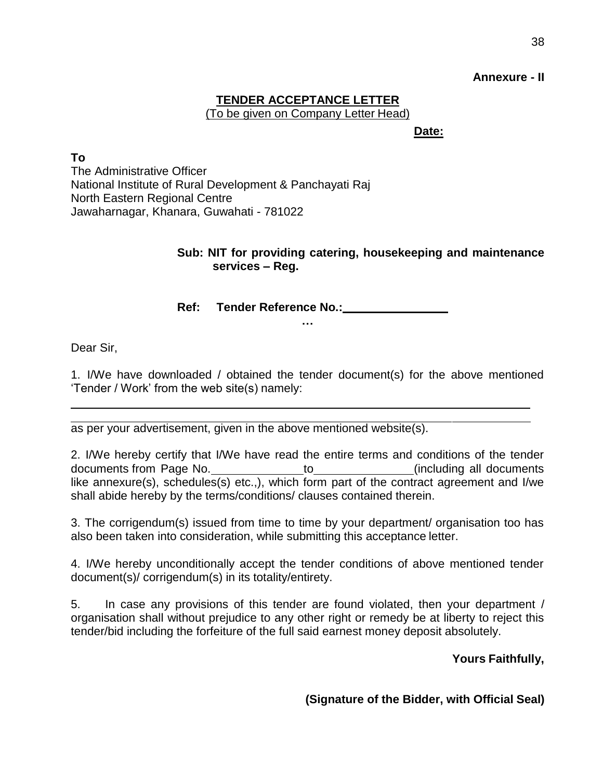#### **Annexure - II**

### **TENDER ACCEPTANCE LETTER** (To be given on Company Letter Head)

**Date:**

**To** The Administrative Officer National Institute of Rural Development & Panchayati Raj North Eastern Regional Centre Jawaharnagar, Khanara, Guwahati - 781022

### **Sub: NIT for providing catering, housekeeping and maintenance services – Reg.**

**Ref: Tender Reference No.:**

**…**

Dear Sir,

1. I/We have downloaded / obtained the tender document(s) for the above mentioned 'Tender / Work' from the web site(s) namely:

as per your advertisement, given in the above mentioned website(s).

2. I/We hereby certify that I/We have read the entire terms and conditions of the tender documents from Page No. to the control of the control of the control of the control of the documents like annexure(s), schedules(s) etc.,), which form part of the contract agreement and I/we shall abide hereby by the terms/conditions/ clauses contained therein.

3. The corrigendum(s) issued from time to time by your department/ organisation too has also been taken into consideration, while submitting this acceptance letter.

4. I/We hereby unconditionally accept the tender conditions of above mentioned tender document(s)/ corrigendum(s) in its totality/entirety.

5. In case any provisions of this tender are found violated, then your department / organisation shall without prejudice to any other right or remedy be at liberty to reject this tender/bid including the forfeiture of the full said earnest money deposit absolutely.

**Yours Faithfully,**

**(Signature of the Bidder, with Official Seal)**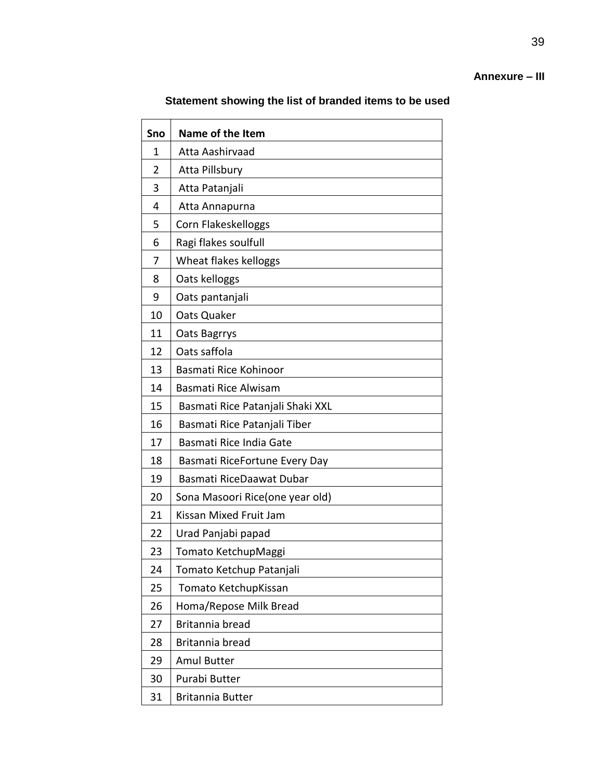### **Annexure – III**

### **Statement showing the list of branded items to be used**

| Sno            | Name of the Item                 |
|----------------|----------------------------------|
| 1              | Atta Aashirvaad                  |
| $\overline{2}$ | Atta Pillsbury                   |
| 3              | Atta Patanjali                   |
| 4              | Atta Annapurna                   |
| 5              | Corn Flakeskelloggs              |
| 6              | Ragi flakes soulfull             |
| 7              | Wheat flakes kelloggs            |
| 8              | Oats kelloggs                    |
| 9              | Oats pantanjali                  |
| 10             | Oats Quaker                      |
| 11             | Oats Bagrrys                     |
| 12             | Oats saffola                     |
| 13             | Basmati Rice Kohinoor            |
| 14             | Basmati Rice Alwisam             |
| 15             | Basmati Rice Patanjali Shaki XXL |
| 16             | Basmati Rice Patanjali Tiber     |
| 17             | Basmati Rice India Gate          |
| 18             | Basmati RiceFortune Every Day    |
| 19             | Basmati RiceDaawat Dubar         |
| 20             | Sona Masoori Rice(one year old)  |
| 21             | Kissan Mixed Fruit Jam           |
| 22             | Urad Panjabi papad               |
| 23             | Tomato KetchupMaggi              |
| 24             | Tomato Ketchup Patanjali         |
| 25             | Tomato KetchupKissan             |
| 26             | Homa/Repose Milk Bread           |
| 27             | Britannia bread                  |
| 28             | Britannia bread                  |
| 29             | <b>Amul Butter</b>               |
| 30             | Purabi Butter                    |
| 31             | <b>Britannia Butter</b>          |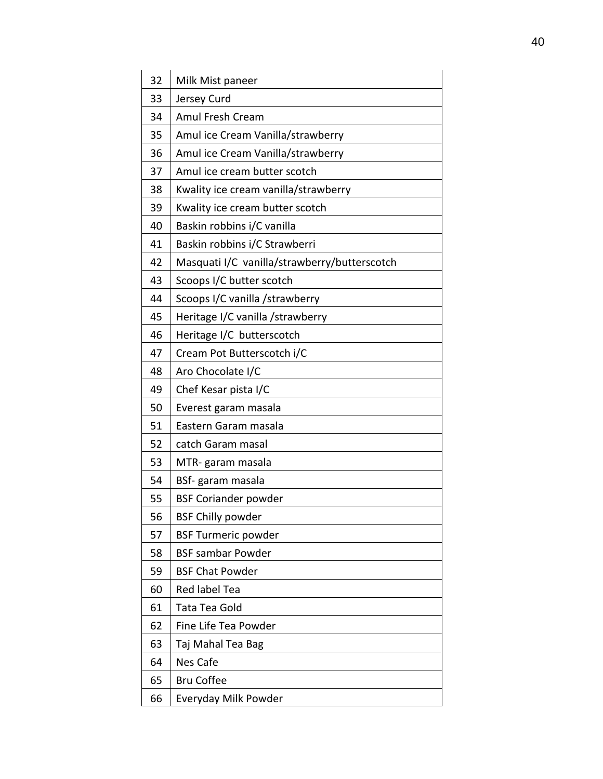| 32 | Milk Mist paneer                             |
|----|----------------------------------------------|
| 33 | Jersey Curd                                  |
| 34 | Amul Fresh Cream                             |
| 35 | Amul ice Cream Vanilla/strawberry            |
| 36 | Amul ice Cream Vanilla/strawberry            |
| 37 | Amul ice cream butter scotch                 |
| 38 | Kwality ice cream vanilla/strawberry         |
| 39 | Kwality ice cream butter scotch              |
| 40 | Baskin robbins i/C vanilla                   |
| 41 | Baskin robbins i/C Strawberri                |
| 42 | Masquati I/C vanilla/strawberry/butterscotch |
| 43 | Scoops I/C butter scotch                     |
| 44 | Scoops I/C vanilla /strawberry               |
| 45 | Heritage I/C vanilla /strawberry             |
| 46 | Heritage I/C butterscotch                    |
| 47 | Cream Pot Butterscotch i/C                   |
| 48 | Aro Chocolate I/C                            |
| 49 | Chef Kesar pista I/C                         |
| 50 | Everest garam masala                         |
| 51 | Eastern Garam masala                         |
| 52 | catch Garam masal                            |
| 53 | MTR-garam masala                             |
| 54 | BSf-garam masala                             |
| 55 | <b>BSF Coriander powder</b>                  |
| 56 | <b>BSF Chilly powder</b>                     |
| 57 | <b>BSF Turmeric powder</b>                   |
| 58 | <b>BSF sambar Powder</b>                     |
| 59 | <b>BSF Chat Powder</b>                       |
| 60 | Red label Tea                                |
| 61 | Tata Tea Gold                                |
| 62 | Fine Life Tea Powder                         |
| 63 | Taj Mahal Tea Bag                            |
| 64 | Nes Cafe                                     |
| 65 | <b>Bru Coffee</b>                            |
| 66 | Everyday Milk Powder                         |